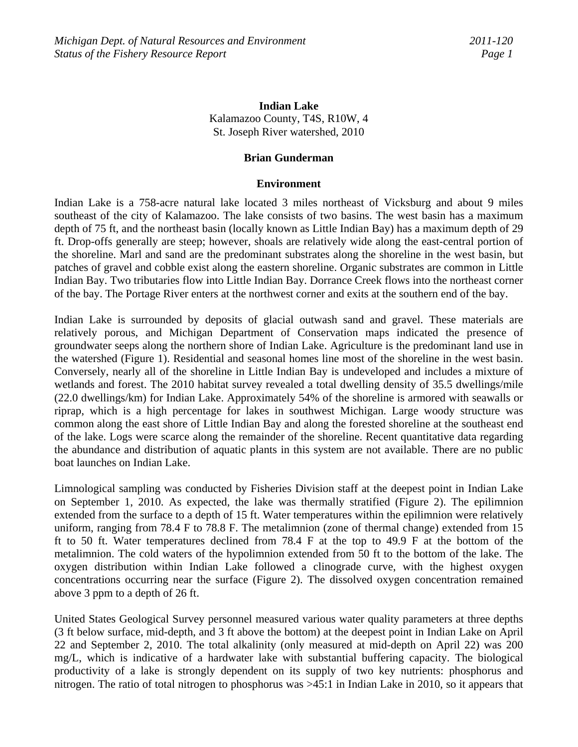# **Indian Lake**  Kalamazoo County, T4S, R10W, 4 St. Joseph River watershed, 2010

### **Brian Gunderman**

### **Environment**

Indian Lake is a 758-acre natural lake located 3 miles northeast of Vicksburg and about 9 miles southeast of the city of Kalamazoo. The lake consists of two basins. The west basin has a maximum depth of 75 ft, and the northeast basin (locally known as Little Indian Bay) has a maximum depth of 29 ft. Drop-offs generally are steep; however, shoals are relatively wide along the east-central portion of the shoreline. Marl and sand are the predominant substrates along the shoreline in the west basin, but patches of gravel and cobble exist along the eastern shoreline. Organic substrates are common in Little Indian Bay. Two tributaries flow into Little Indian Bay. Dorrance Creek flows into the northeast corner of the bay. The Portage River enters at the northwest corner and exits at the southern end of the bay.

Indian Lake is surrounded by deposits of glacial outwash sand and gravel. These materials are relatively porous, and Michigan Department of Conservation maps indicated the presence of groundwater seeps along the northern shore of Indian Lake. Agriculture is the predominant land use in the watershed (Figure 1). Residential and seasonal homes line most of the shoreline in the west basin. Conversely, nearly all of the shoreline in Little Indian Bay is undeveloped and includes a mixture of wetlands and forest. The 2010 habitat survey revealed a total dwelling density of 35.5 dwellings/mile (22.0 dwellings/km) for Indian Lake. Approximately 54% of the shoreline is armored with seawalls or riprap, which is a high percentage for lakes in southwest Michigan. Large woody structure was common along the east shore of Little Indian Bay and along the forested shoreline at the southeast end of the lake. Logs were scarce along the remainder of the shoreline. Recent quantitative data regarding the abundance and distribution of aquatic plants in this system are not available. There are no public boat launches on Indian Lake.

Limnological sampling was conducted by Fisheries Division staff at the deepest point in Indian Lake on September 1, 2010. As expected, the lake was thermally stratified (Figure 2). The epilimnion extended from the surface to a depth of 15 ft. Water temperatures within the epilimnion were relatively uniform, ranging from 78.4 F to 78.8 F. The metalimnion (zone of thermal change) extended from 15 ft to 50 ft. Water temperatures declined from 78.4 F at the top to 49.9 F at the bottom of the metalimnion. The cold waters of the hypolimnion extended from 50 ft to the bottom of the lake. The oxygen distribution within Indian Lake followed a clinograde curve, with the highest oxygen concentrations occurring near the surface (Figure 2). The dissolved oxygen concentration remained above 3 ppm to a depth of 26 ft.

United States Geological Survey personnel measured various water quality parameters at three depths (3 ft below surface, mid-depth, and 3 ft above the bottom) at the deepest point in Indian Lake on April 22 and September 2, 2010. The total alkalinity (only measured at mid-depth on April 22) was 200 mg/L, which is indicative of a hardwater lake with substantial buffering capacity. The biological productivity of a lake is strongly dependent on its supply of two key nutrients: phosphorus and nitrogen. The ratio of total nitrogen to phosphorus was >45:1 in Indian Lake in 2010, so it appears that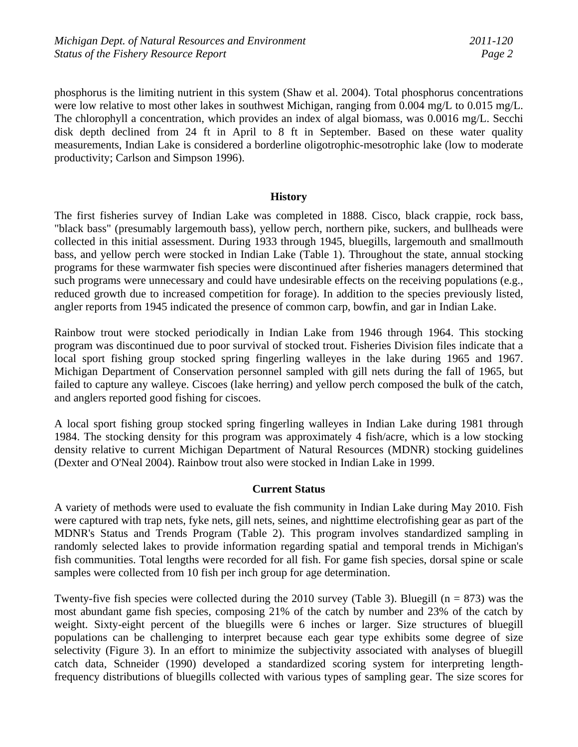phosphorus is the limiting nutrient in this system (Shaw et al. 2004). Total phosphorus concentrations were low relative to most other lakes in southwest Michigan, ranging from 0.004 mg/L to 0.015 mg/L. The chlorophyll a concentration, which provides an index of algal biomass, was 0.0016 mg/L. Secchi disk depth declined from 24 ft in April to 8 ft in September. Based on these water quality measurements, Indian Lake is considered a borderline oligotrophic-mesotrophic lake (low to moderate productivity; Carlson and Simpson 1996).

### **History**

The first fisheries survey of Indian Lake was completed in 1888. Cisco, black crappie, rock bass, "black bass" (presumably largemouth bass), yellow perch, northern pike, suckers, and bullheads were collected in this initial assessment. During 1933 through 1945, bluegills, largemouth and smallmouth bass, and yellow perch were stocked in Indian Lake (Table 1). Throughout the state, annual stocking programs for these warmwater fish species were discontinued after fisheries managers determined that such programs were unnecessary and could have undesirable effects on the receiving populations (e.g., reduced growth due to increased competition for forage). In addition to the species previously listed, angler reports from 1945 indicated the presence of common carp, bowfin, and gar in Indian Lake.

Rainbow trout were stocked periodically in Indian Lake from 1946 through 1964. This stocking program was discontinued due to poor survival of stocked trout. Fisheries Division files indicate that a local sport fishing group stocked spring fingerling walleyes in the lake during 1965 and 1967. Michigan Department of Conservation personnel sampled with gill nets during the fall of 1965, but failed to capture any walleye. Ciscoes (lake herring) and yellow perch composed the bulk of the catch, and anglers reported good fishing for ciscoes.

A local sport fishing group stocked spring fingerling walleyes in Indian Lake during 1981 through 1984. The stocking density for this program was approximately 4 fish/acre, which is a low stocking density relative to current Michigan Department of Natural Resources (MDNR) stocking guidelines (Dexter and O'Neal 2004). Rainbow trout also were stocked in Indian Lake in 1999.

### **Current Status**

A variety of methods were used to evaluate the fish community in Indian Lake during May 2010. Fish were captured with trap nets, fyke nets, gill nets, seines, and nighttime electrofishing gear as part of the MDNR's Status and Trends Program (Table 2). This program involves standardized sampling in randomly selected lakes to provide information regarding spatial and temporal trends in Michigan's fish communities. Total lengths were recorded for all fish. For game fish species, dorsal spine or scale samples were collected from 10 fish per inch group for age determination.

Twenty-five fish species were collected during the 2010 survey (Table 3). Bluegill ( $n = 873$ ) was the most abundant game fish species, composing 21% of the catch by number and 23% of the catch by weight. Sixty-eight percent of the bluegills were 6 inches or larger. Size structures of bluegill populations can be challenging to interpret because each gear type exhibits some degree of size selectivity (Figure 3). In an effort to minimize the subjectivity associated with analyses of bluegill catch data, Schneider (1990) developed a standardized scoring system for interpreting lengthfrequency distributions of bluegills collected with various types of sampling gear. The size scores for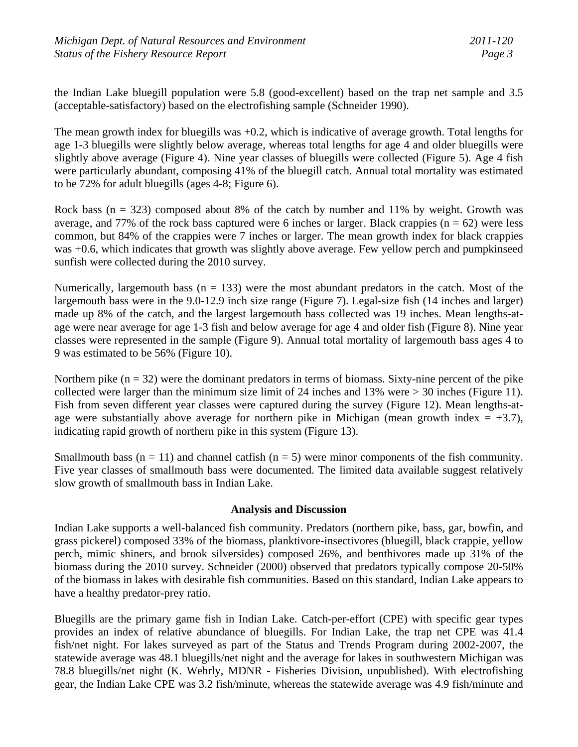the Indian Lake bluegill population were 5.8 (good-excellent) based on the trap net sample and 3.5 (acceptable-satisfactory) based on the electrofishing sample (Schneider 1990).

The mean growth index for bluegills was +0.2, which is indicative of average growth. Total lengths for age 1-3 bluegills were slightly below average, whereas total lengths for age 4 and older bluegills were slightly above average (Figure 4). Nine year classes of bluegills were collected (Figure 5). Age 4 fish were particularly abundant, composing 41% of the bluegill catch. Annual total mortality was estimated to be 72% for adult bluegills (ages 4-8; Figure 6).

Rock bass ( $n = 323$ ) composed about 8% of the catch by number and 11% by weight. Growth was average, and 77% of the rock bass captured were 6 inches or larger. Black crappies  $(n = 62)$  were less common, but 84% of the crappies were 7 inches or larger. The mean growth index for black crappies was +0.6, which indicates that growth was slightly above average. Few yellow perch and pumpkinseed sunfish were collected during the 2010 survey.

Numerically, largemouth bass ( $n = 133$ ) were the most abundant predators in the catch. Most of the largemouth bass were in the 9.0-12.9 inch size range (Figure 7). Legal-size fish (14 inches and larger) made up 8% of the catch, and the largest largemouth bass collected was 19 inches. Mean lengths-atage were near average for age 1-3 fish and below average for age 4 and older fish (Figure 8). Nine year classes were represented in the sample (Figure 9). Annual total mortality of largemouth bass ages 4 to 9 was estimated to be 56% (Figure 10).

Northern pike  $(n = 32)$  were the dominant predators in terms of biomass. Sixty-nine percent of the pike collected were larger than the minimum size limit of 24 inches and 13% were > 30 inches (Figure 11). Fish from seven different year classes were captured during the survey (Figure 12). Mean lengths-atage were substantially above average for northern pike in Michigan (mean growth index  $= +3.7$ ), indicating rapid growth of northern pike in this system (Figure 13).

Smallmouth bass ( $n = 11$ ) and channel catfish ( $n = 5$ ) were minor components of the fish community. Five year classes of smallmouth bass were documented. The limited data available suggest relatively slow growth of smallmouth bass in Indian Lake.

## **Analysis and Discussion**

Indian Lake supports a well-balanced fish community. Predators (northern pike, bass, gar, bowfin, and grass pickerel) composed 33% of the biomass, planktivore-insectivores (bluegill, black crappie, yellow perch, mimic shiners, and brook silversides) composed 26%, and benthivores made up 31% of the biomass during the 2010 survey. Schneider (2000) observed that predators typically compose 20-50% of the biomass in lakes with desirable fish communities. Based on this standard, Indian Lake appears to have a healthy predator-prey ratio.

Bluegills are the primary game fish in Indian Lake. Catch-per-effort (CPE) with specific gear types provides an index of relative abundance of bluegills. For Indian Lake, the trap net CPE was 41.4 fish/net night. For lakes surveyed as part of the Status and Trends Program during 2002-2007, the statewide average was 48.1 bluegills/net night and the average for lakes in southwestern Michigan was 78.8 bluegills/net night (K. Wehrly, MDNR - Fisheries Division, unpublished). With electrofishing gear, the Indian Lake CPE was 3.2 fish/minute, whereas the statewide average was 4.9 fish/minute and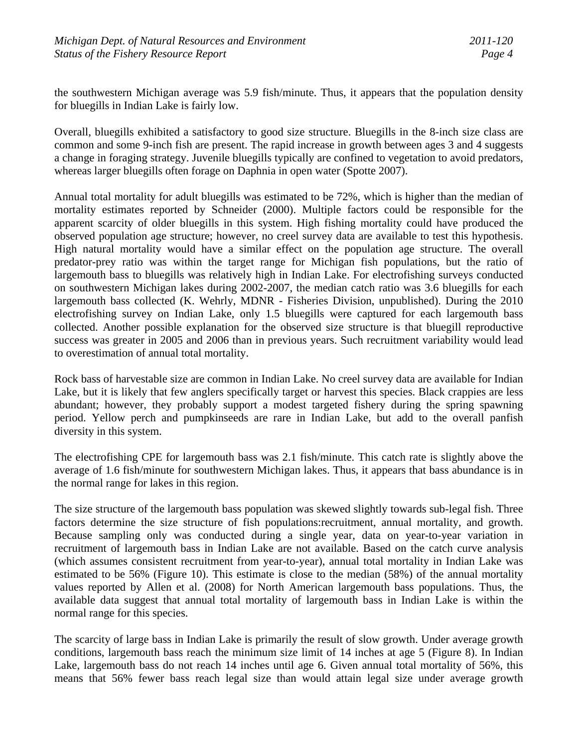the southwestern Michigan average was 5.9 fish/minute. Thus, it appears that the population density for bluegills in Indian Lake is fairly low.

Overall, bluegills exhibited a satisfactory to good size structure. Bluegills in the 8-inch size class are common and some 9-inch fish are present. The rapid increase in growth between ages 3 and 4 suggests a change in foraging strategy. Juvenile bluegills typically are confined to vegetation to avoid predators, whereas larger bluegills often forage on Daphnia in open water (Spotte 2007).

Annual total mortality for adult bluegills was estimated to be 72%, which is higher than the median of mortality estimates reported by Schneider (2000). Multiple factors could be responsible for the apparent scarcity of older bluegills in this system. High fishing mortality could have produced the observed population age structure; however, no creel survey data are available to test this hypothesis. High natural mortality would have a similar effect on the population age structure. The overall predator-prey ratio was within the target range for Michigan fish populations, but the ratio of largemouth bass to bluegills was relatively high in Indian Lake. For electrofishing surveys conducted on southwestern Michigan lakes during 2002-2007, the median catch ratio was 3.6 bluegills for each largemouth bass collected (K. Wehrly, MDNR - Fisheries Division, unpublished). During the 2010 electrofishing survey on Indian Lake, only 1.5 bluegills were captured for each largemouth bass collected. Another possible explanation for the observed size structure is that bluegill reproductive success was greater in 2005 and 2006 than in previous years. Such recruitment variability would lead to overestimation of annual total mortality.

Rock bass of harvestable size are common in Indian Lake. No creel survey data are available for Indian Lake, but it is likely that few anglers specifically target or harvest this species. Black crappies are less abundant; however, they probably support a modest targeted fishery during the spring spawning period. Yellow perch and pumpkinseeds are rare in Indian Lake, but add to the overall panfish diversity in this system.

The electrofishing CPE for largemouth bass was 2.1 fish/minute. This catch rate is slightly above the average of 1.6 fish/minute for southwestern Michigan lakes. Thus, it appears that bass abundance is in the normal range for lakes in this region.

The size structure of the largemouth bass population was skewed slightly towards sub-legal fish. Three factors determine the size structure of fish populations:recruitment, annual mortality, and growth. Because sampling only was conducted during a single year, data on year-to-year variation in recruitment of largemouth bass in Indian Lake are not available. Based on the catch curve analysis (which assumes consistent recruitment from year-to-year), annual total mortality in Indian Lake was estimated to be 56% (Figure 10). This estimate is close to the median (58%) of the annual mortality values reported by Allen et al. (2008) for North American largemouth bass populations. Thus, the available data suggest that annual total mortality of largemouth bass in Indian Lake is within the normal range for this species.

The scarcity of large bass in Indian Lake is primarily the result of slow growth. Under average growth conditions, largemouth bass reach the minimum size limit of 14 inches at age 5 (Figure 8). In Indian Lake, largemouth bass do not reach 14 inches until age 6. Given annual total mortality of 56%, this means that 56% fewer bass reach legal size than would attain legal size under average growth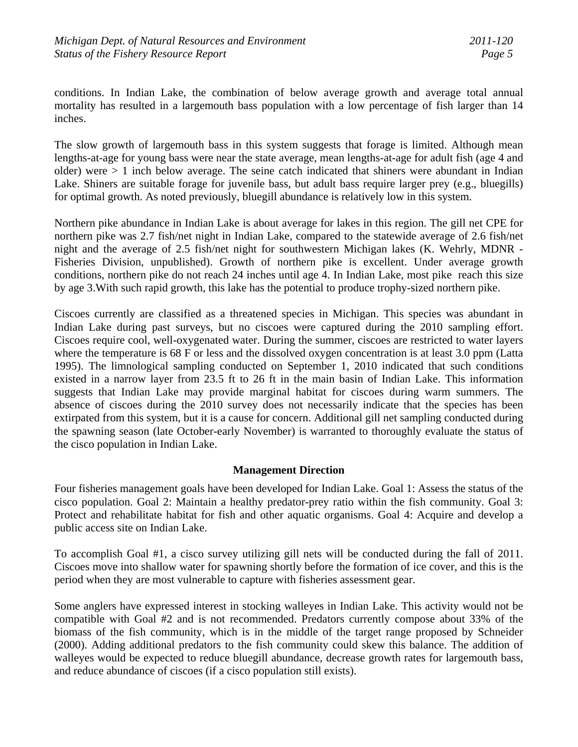conditions. In Indian Lake, the combination of below average growth and average total annual mortality has resulted in a largemouth bass population with a low percentage of fish larger than 14 inches.

The slow growth of largemouth bass in this system suggests that forage is limited. Although mean lengths-at-age for young bass were near the state average, mean lengths-at-age for adult fish (age 4 and older) were > 1 inch below average. The seine catch indicated that shiners were abundant in Indian Lake. Shiners are suitable forage for juvenile bass, but adult bass require larger prey (e.g., bluegills) for optimal growth. As noted previously, bluegill abundance is relatively low in this system.

Northern pike abundance in Indian Lake is about average for lakes in this region. The gill net CPE for northern pike was 2.7 fish/net night in Indian Lake, compared to the statewide average of 2.6 fish/net night and the average of 2.5 fish/net night for southwestern Michigan lakes (K. Wehrly, MDNR - Fisheries Division, unpublished). Growth of northern pike is excellent. Under average growth conditions, northern pike do not reach 24 inches until age 4. In Indian Lake, most pike reach this size by age 3.With such rapid growth, this lake has the potential to produce trophy-sized northern pike.

Ciscoes currently are classified as a threatened species in Michigan. This species was abundant in Indian Lake during past surveys, but no ciscoes were captured during the 2010 sampling effort. Ciscoes require cool, well-oxygenated water. During the summer, ciscoes are restricted to water layers where the temperature is 68 F or less and the dissolved oxygen concentration is at least 3.0 ppm (Latta 1995). The limnological sampling conducted on September 1, 2010 indicated that such conditions existed in a narrow layer from 23.5 ft to 26 ft in the main basin of Indian Lake. This information suggests that Indian Lake may provide marginal habitat for ciscoes during warm summers. The absence of ciscoes during the 2010 survey does not necessarily indicate that the species has been extirpated from this system, but it is a cause for concern. Additional gill net sampling conducted during the spawning season (late October-early November) is warranted to thoroughly evaluate the status of the cisco population in Indian Lake.

## **Management Direction**

Four fisheries management goals have been developed for Indian Lake. Goal 1: Assess the status of the cisco population. Goal 2: Maintain a healthy predator-prey ratio within the fish community. Goal 3: Protect and rehabilitate habitat for fish and other aquatic organisms. Goal 4: Acquire and develop a public access site on Indian Lake.

To accomplish Goal #1, a cisco survey utilizing gill nets will be conducted during the fall of 2011. Ciscoes move into shallow water for spawning shortly before the formation of ice cover, and this is the period when they are most vulnerable to capture with fisheries assessment gear.

Some anglers have expressed interest in stocking walleyes in Indian Lake. This activity would not be compatible with Goal #2 and is not recommended. Predators currently compose about 33% of the biomass of the fish community, which is in the middle of the target range proposed by Schneider (2000). Adding additional predators to the fish community could skew this balance. The addition of walleyes would be expected to reduce bluegill abundance, decrease growth rates for largemouth bass, and reduce abundance of ciscoes (if a cisco population still exists).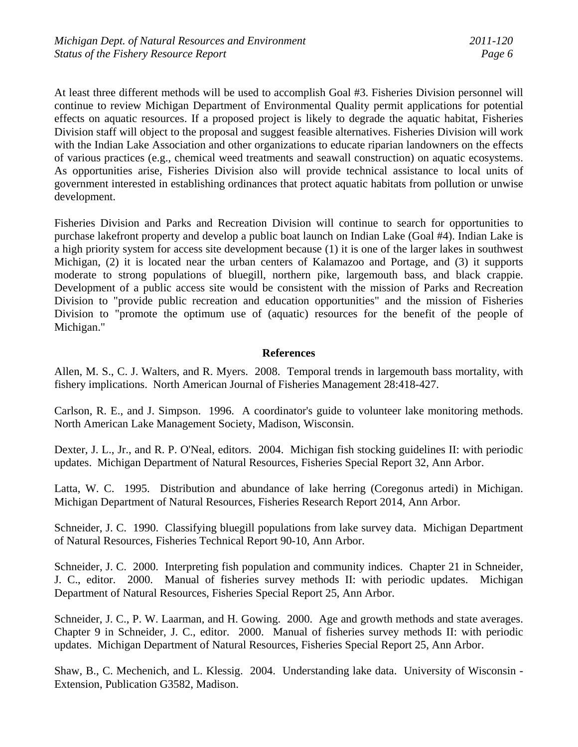At least three different methods will be used to accomplish Goal #3. Fisheries Division personnel will continue to review Michigan Department of Environmental Quality permit applications for potential effects on aquatic resources. If a proposed project is likely to degrade the aquatic habitat, Fisheries Division staff will object to the proposal and suggest feasible alternatives. Fisheries Division will work with the Indian Lake Association and other organizations to educate riparian landowners on the effects of various practices (e.g., chemical weed treatments and seawall construction) on aquatic ecosystems. As opportunities arise, Fisheries Division also will provide technical assistance to local units of government interested in establishing ordinances that protect aquatic habitats from pollution or unwise development.

Fisheries Division and Parks and Recreation Division will continue to search for opportunities to purchase lakefront property and develop a public boat launch on Indian Lake (Goal #4). Indian Lake is a high priority system for access site development because (1) it is one of the larger lakes in southwest Michigan, (2) it is located near the urban centers of Kalamazoo and Portage, and (3) it supports moderate to strong populations of bluegill, northern pike, largemouth bass, and black crappie. Development of a public access site would be consistent with the mission of Parks and Recreation Division to "provide public recreation and education opportunities" and the mission of Fisheries Division to "promote the optimum use of (aquatic) resources for the benefit of the people of Michigan."

### **References**

Allen, M. S., C. J. Walters, and R. Myers. 2008. Temporal trends in largemouth bass mortality, with fishery implications. North American Journal of Fisheries Management 28:418-427.

Carlson, R. E., and J. Simpson. 1996. A coordinator's guide to volunteer lake monitoring methods. North American Lake Management Society, Madison, Wisconsin.

Dexter, J. L., Jr., and R. P. O'Neal, editors. 2004. Michigan fish stocking guidelines II: with periodic updates. Michigan Department of Natural Resources, Fisheries Special Report 32, Ann Arbor.

Latta, W. C. 1995. Distribution and abundance of lake herring (Coregonus artedi) in Michigan. Michigan Department of Natural Resources, Fisheries Research Report 2014, Ann Arbor.

Schneider, J. C. 1990. Classifying bluegill populations from lake survey data. Michigan Department of Natural Resources, Fisheries Technical Report 90-10, Ann Arbor.

Schneider, J. C. 2000. Interpreting fish population and community indices. Chapter 21 in Schneider, J. C., editor. 2000. Manual of fisheries survey methods II: with periodic updates. Michigan Department of Natural Resources, Fisheries Special Report 25, Ann Arbor.

Schneider, J. C., P. W. Laarman, and H. Gowing. 2000. Age and growth methods and state averages. Chapter 9 in Schneider, J. C., editor. 2000. Manual of fisheries survey methods II: with periodic updates. Michigan Department of Natural Resources, Fisheries Special Report 25, Ann Arbor.

Shaw, B., C. Mechenich, and L. Klessig. 2004. Understanding lake data. University of Wisconsin - Extension, Publication G3582, Madison.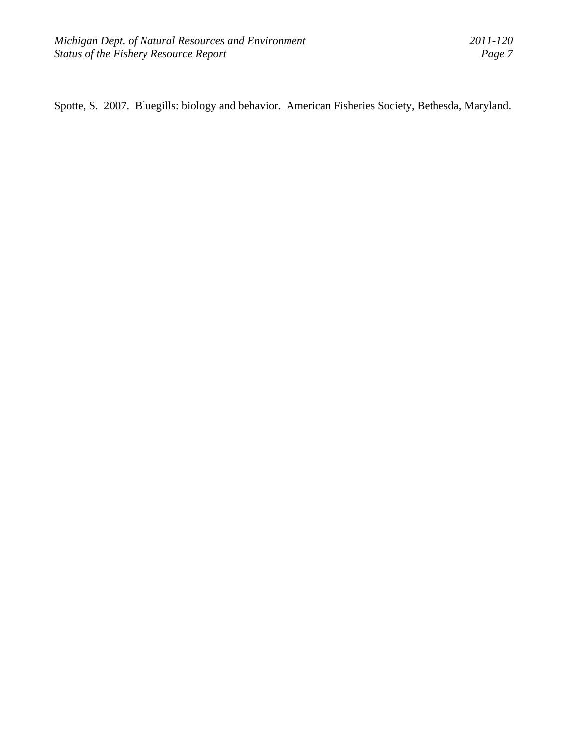Spotte, S. 2007. Bluegills: biology and behavior. American Fisheries Society, Bethesda, Maryland.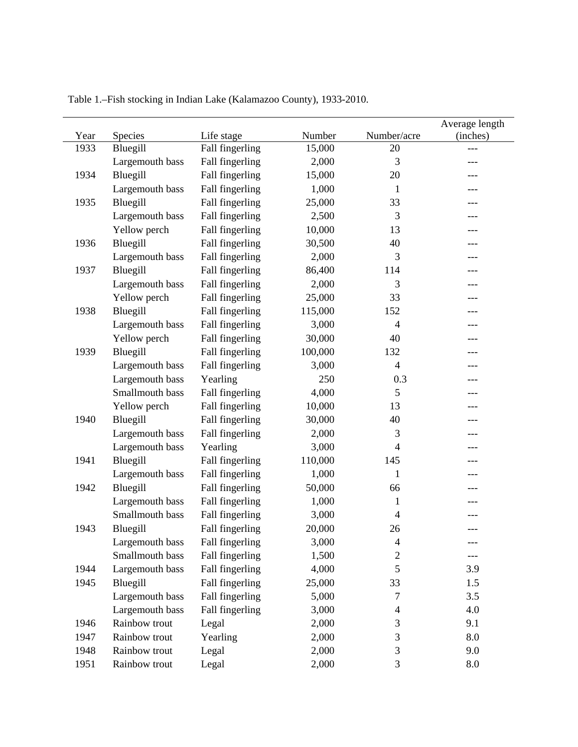| Year | Species         | Life stage      | Number  | Number/acre              | Average length<br>(inches) |
|------|-----------------|-----------------|---------|--------------------------|----------------------------|
| 1933 | Bluegill        | Fall fingerling | 15,000  | 20                       |                            |
|      | Largemouth bass | Fall fingerling | 2,000   | 3                        |                            |
| 1934 | Bluegill        | Fall fingerling | 15,000  | 20                       |                            |
|      | Largemouth bass | Fall fingerling | 1,000   | 1                        |                            |
| 1935 | Bluegill        | Fall fingerling | 25,000  | 33                       |                            |
|      | Largemouth bass | Fall fingerling | 2,500   | 3                        |                            |
|      | Yellow perch    | Fall fingerling | 10,000  | 13                       |                            |
| 1936 | Bluegill        | Fall fingerling | 30,500  | 40                       |                            |
|      | Largemouth bass | Fall fingerling | 2,000   | 3                        |                            |
| 1937 | Bluegill        | Fall fingerling | 86,400  | 114                      |                            |
|      | Largemouth bass | Fall fingerling | 2,000   | 3                        |                            |
|      | Yellow perch    | Fall fingerling | 25,000  | 33                       |                            |
| 1938 | Bluegill        | Fall fingerling | 115,000 | 152                      |                            |
|      | Largemouth bass | Fall fingerling | 3,000   | $\overline{4}$           |                            |
|      | Yellow perch    | Fall fingerling | 30,000  | 40                       |                            |
| 1939 | Bluegill        | Fall fingerling | 100,000 | 132                      |                            |
|      | Largemouth bass | Fall fingerling | 3,000   | $\overline{4}$           |                            |
|      | Largemouth bass | Yearling        | 250     | 0.3                      |                            |
|      | Smallmouth bass | Fall fingerling | 4,000   | 5                        |                            |
|      | Yellow perch    | Fall fingerling | 10,000  | 13                       |                            |
| 1940 | Bluegill        | Fall fingerling | 30,000  | 40                       |                            |
|      | Largemouth bass | Fall fingerling | 2,000   | 3                        |                            |
|      | Largemouth bass | Yearling        | 3,000   | 4                        |                            |
| 1941 | Bluegill        | Fall fingerling | 110,000 | 145                      |                            |
|      | Largemouth bass | Fall fingerling | 1,000   | 1                        |                            |
| 1942 | Bluegill        | Fall fingerling | 50,000  | 66                       |                            |
|      | Largemouth bass | Fall fingerling | 1,000   | 1                        |                            |
|      | Smallmouth bass | Fall fingerling | 3,000   | 4                        |                            |
| 1943 | Bluegill        | Fall fingerling | 20,000  | 26                       | ---                        |
|      | Largemouth bass | Fall fingerling | 3,000   | $\overline{\mathcal{A}}$ |                            |
|      | Smallmouth bass | Fall fingerling | 1,500   | $\overline{2}$           |                            |
| 1944 | Largemouth bass | Fall fingerling | 4,000   | 5                        | 3.9                        |
| 1945 | Bluegill        | Fall fingerling | 25,000  | 33                       | 1.5                        |
|      | Largemouth bass | Fall fingerling | 5,000   | 7                        | 3.5                        |
|      | Largemouth bass | Fall fingerling | 3,000   | $\overline{4}$           | 4.0                        |
| 1946 | Rainbow trout   | Legal           | 2,000   | 3                        | 9.1                        |
| 1947 | Rainbow trout   | Yearling        | 2,000   | 3                        | 8.0                        |
| 1948 | Rainbow trout   | Legal           | 2,000   | 3                        | 9.0                        |
| 1951 | Rainbow trout   | Legal           | 2,000   | 3                        | 8.0                        |

Table 1.–Fish stocking in Indian Lake (Kalamazoo County), 1933-2010.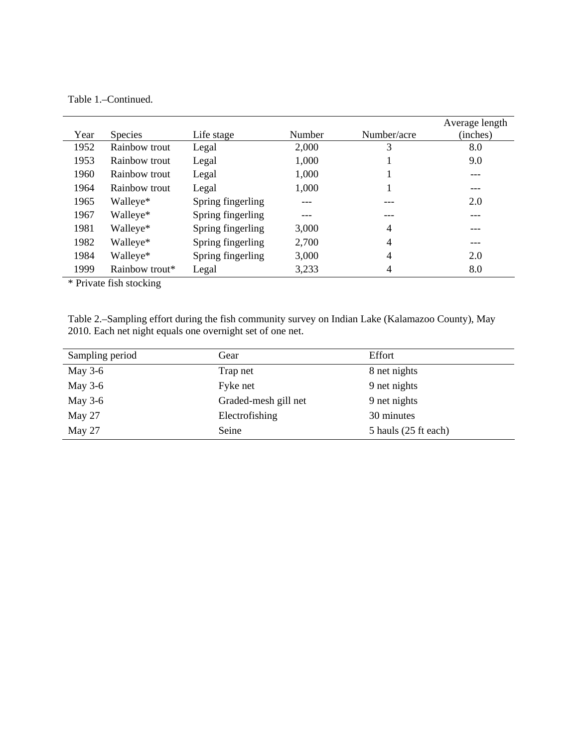# Table 1.–Continued.

|      |                |                   |        |                | Average length |
|------|----------------|-------------------|--------|----------------|----------------|
| Year | <b>Species</b> | Life stage        | Number | Number/acre    | (inches)       |
| 1952 | Rainbow trout  | Legal             | 2,000  | 3              | 8.0            |
| 1953 | Rainbow trout  | Legal             | 1,000  |                | 9.0            |
| 1960 | Rainbow trout  | Legal             | 1,000  |                | ---            |
| 1964 | Rainbow trout  | Legal             | 1,000  |                | ---            |
| 1965 | Walleye*       | Spring fingerling | ---    |                | 2.0            |
| 1967 | Walleye*       | Spring fingerling | ---    |                | ---            |
| 1981 | Walleye*       | Spring fingerling | 3,000  | $\overline{4}$ | ---            |
| 1982 | Walleye*       | Spring fingerling | 2,700  | 4              | ---            |
| 1984 | Walleye*       | Spring fingerling | 3,000  | 4              | 2.0            |
| 1999 | Rainbow trout* | Legal             | 3,233  | 4              | 8.0            |

\* Private fish stocking

| Table 2.—Sampling effort during the fish community survey on Indian Lake (Kalamazoo County), May |  |  |  |
|--------------------------------------------------------------------------------------------------|--|--|--|
| 2010. Each net night equals one overnight set of one net.                                        |  |  |  |

| Sampling period | Gear                 | Effort               |
|-----------------|----------------------|----------------------|
| May $3-6$       | Trap net             | 8 net nights         |
| May $3-6$       | Fyke net             | 9 net nights         |
| May $3-6$       | Graded-mesh gill net | 9 net nights         |
| May 27          | Electrofishing       | 30 minutes           |
| May 27          | Seine                | 5 hauls (25 ft each) |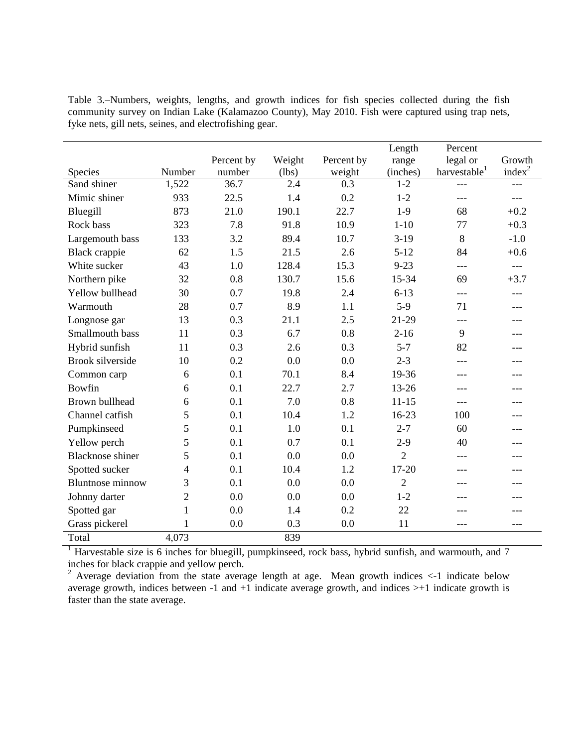Table 3.–Numbers, weights, lengths, and growth indices for fish species collected during the fish community survey on Indian Lake (Kalamazoo County), May 2010. Fish were captured using trap nets, fyke nets, gill nets, seines, and electrofishing gear.

|                         |              |            |        |            | Length         | Percent                  |                    |
|-------------------------|--------------|------------|--------|------------|----------------|--------------------------|--------------------|
|                         |              | Percent by | Weight | Percent by | range          | legal or                 | Growth             |
| Species                 | Number       | number     | (lbs)  | weight     | (inches)       | harvestable <sup>1</sup> | index <sup>2</sup> |
| Sand shiner             | 1,522        | 36.7       | 2.4    | 0.3        | $1 - 2$        | $---$                    | ---                |
| Mimic shiner            | 933          | 22.5       | 1.4    | 0.2        | $1-2$          | ---                      | ---                |
| Bluegill                | 873          | 21.0       | 190.1  | 22.7       | $1-9$          | 68                       | $+0.2$             |
| Rock bass               | 323          | 7.8        | 91.8   | 10.9       | $1 - 10$       | 77                       | $+0.3$             |
| Largemouth bass         | 133          | 3.2        | 89.4   | 10.7       | $3-19$         | 8                        | $-1.0$             |
| Black crappie           | 62           | 1.5        | 21.5   | 2.6        | $5 - 12$       | 84                       | $+0.6$             |
| White sucker            | 43           | 1.0        | 128.4  | 15.3       | $9 - 23$       | $---$                    | $---$              |
| Northern pike           | 32           | 0.8        | 130.7  | 15.6       | 15-34          | 69                       | $+3.7$             |
| Yellow bullhead         | 30           | 0.7        | 19.8   | 2.4        | $6 - 13$       | ---                      |                    |
| Warmouth                | 28           | 0.7        | 8.9    | 1.1        | $5-9$          | 71                       |                    |
| Longnose gar            | 13           | 0.3        | 21.1   | 2.5        | 21-29          | ---                      |                    |
| Smallmouth bass         | 11           | 0.3        | 6.7    | 0.8        | $2 - 16$       | 9                        |                    |
| Hybrid sunfish          | 11           | 0.3        | 2.6    | 0.3        | $5 - 7$        | 82                       | ---                |
| <b>Brook silverside</b> | 10           | 0.2        | 0.0    | 0.0        | $2 - 3$        | ---                      |                    |
| Common carp             | 6            | 0.1        | 70.1   | 8.4        | 19-36          | ---                      |                    |
| Bowfin                  | 6            | 0.1        | 22.7   | 2.7        | $13 - 26$      | ---                      |                    |
| Brown bullhead          | 6            | 0.1        | 7.0    | 0.8        | $11 - 15$      | ---                      |                    |
| Channel catfish         | 5            | 0.1        | 10.4   | 1.2        | $16-23$        | 100                      |                    |
| Pumpkinseed             | 5            | 0.1        | 1.0    | 0.1        | $2 - 7$        | 60                       |                    |
| Yellow perch            | 5            | 0.1        | 0.7    | 0.1        | $2-9$          | 40                       | ---                |
| <b>Blacknose</b> shiner | 5            | 0.1        | 0.0    | 0.0        | $\overline{2}$ | ---                      |                    |
| Spotted sucker          | 4            | 0.1        | 10.4   | 1.2        | $17 - 20$      | ---                      |                    |
| <b>Bluntnose minnow</b> | 3            | 0.1        | 0.0    | 0.0        | $\overline{2}$ | ---                      |                    |
| Johnny darter           | 2            | 0.0        | 0.0    | 0.0        | $1 - 2$        | ---                      |                    |
| Spotted gar             | 1            | 0.0        | 1.4    | 0.2        | 22             | ---                      | ---                |
| Grass pickerel          | $\mathbf{1}$ | 0.0        | 0.3    | 0.0        | 11             | ---                      | ---                |
| Total                   | 4,073        |            | 839    |            |                |                          |                    |

<sup>1</sup> Harvestable size is 6 inches for bluegill, pumpkinseed, rock bass, hybrid sunfish, and warmouth, and 7

inches for black crappie and yellow perch.<br><sup>2</sup> Average deviation from the state average length at age. Mean growth indices  $\lt$ -1 indicate below average growth, indices between -1 and  $+1$  indicate average growth, and indices  $> +1$  indicate growth is faster than the state average.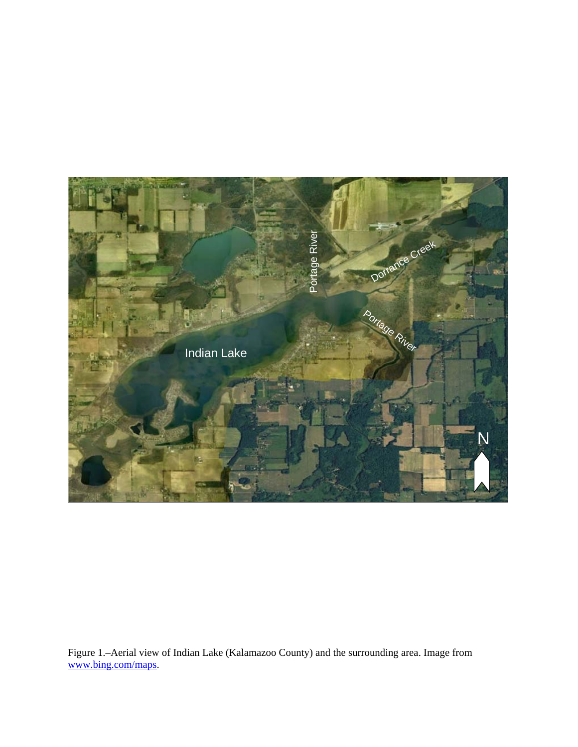

Figure 1.–Aerial view of Indian Lake (Kalamazoo County) and the surrounding area. Image from www.bing.com/maps.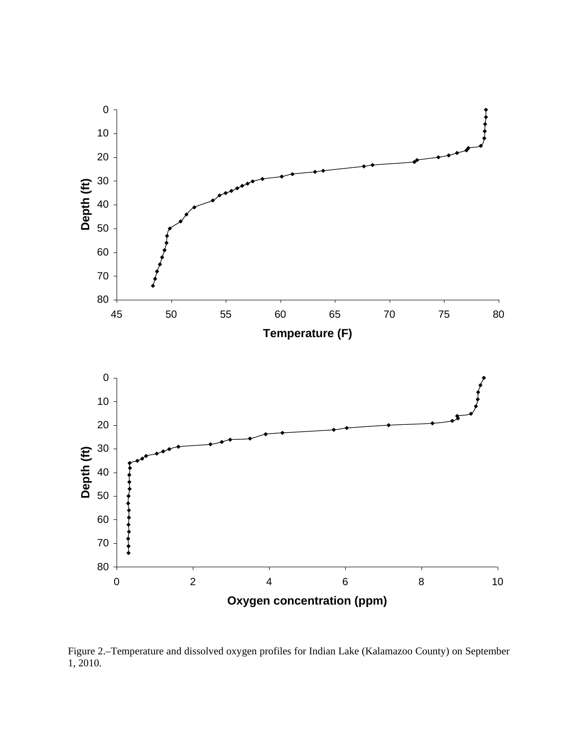

Figure 2.–Temperature and dissolved oxygen profiles for Indian Lake (Kalamazoo County) on September 1, 2010.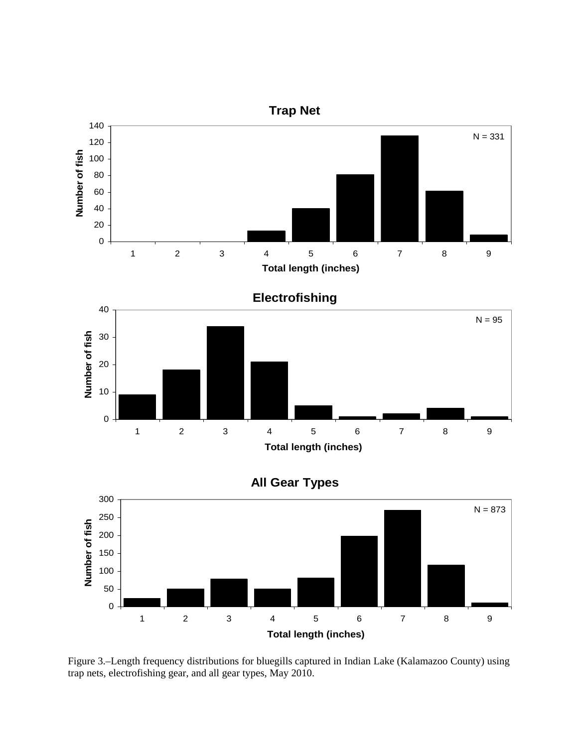

**Total length (inches)**

Figure 3.–Length frequency distributions for bluegills captured in Indian Lake (Kalamazoo County) using trap nets, electrofishing gear, and all gear types, May 2010.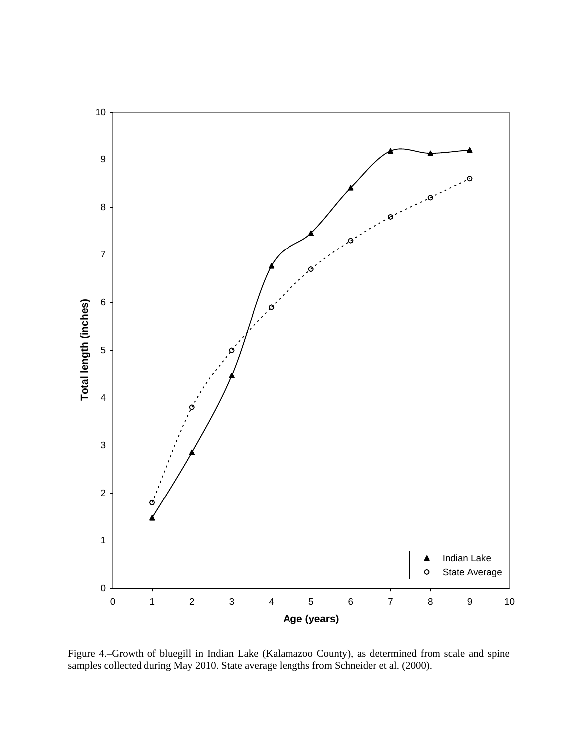

Figure 4.–Growth of bluegill in Indian Lake (Kalamazoo County), as determined from scale and spine samples collected during May 2010. State average lengths from Schneider et al. (2000).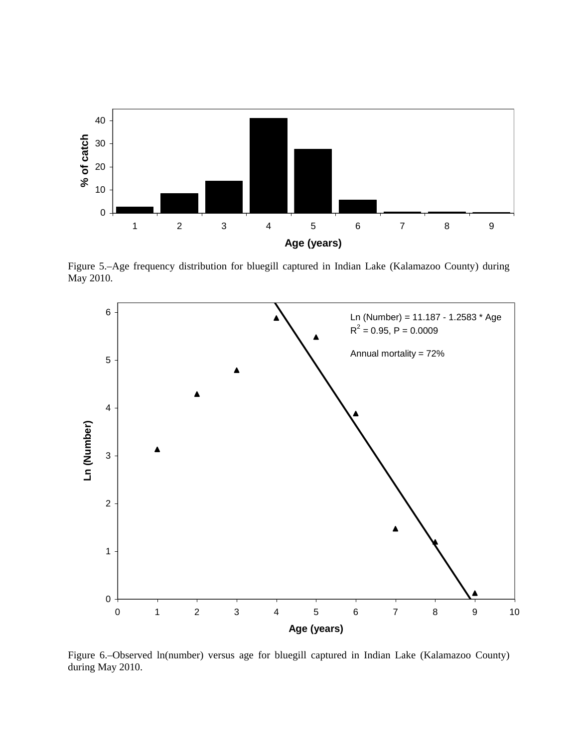

Figure 5.–Age frequency distribution for bluegill captured in Indian Lake (Kalamazoo County) during May 2010.



Figure 6.–Observed ln(number) versus age for bluegill captured in Indian Lake (Kalamazoo County) during May 2010.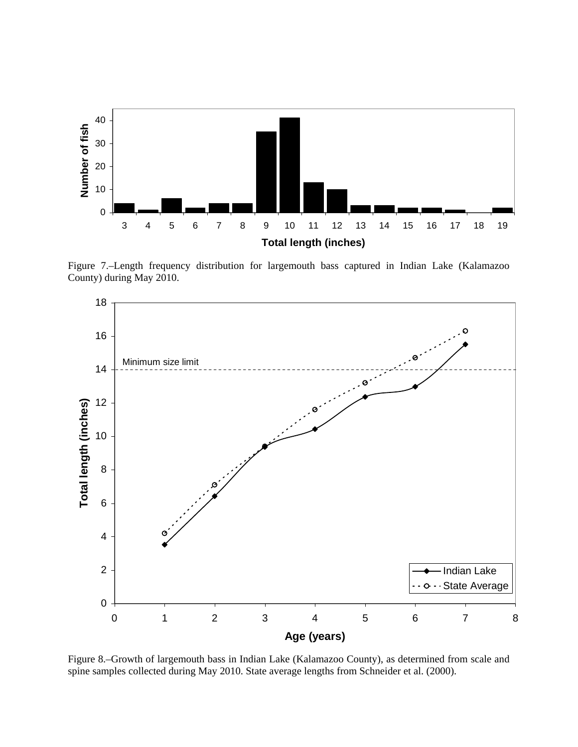

Figure 7.–Length frequency distribution for largemouth bass captured in Indian Lake (Kalamazoo County) during May 2010.



Figure 8.–Growth of largemouth bass in Indian Lake (Kalamazoo County), as determined from scale and spine samples collected during May 2010. State average lengths from Schneider et al. (2000).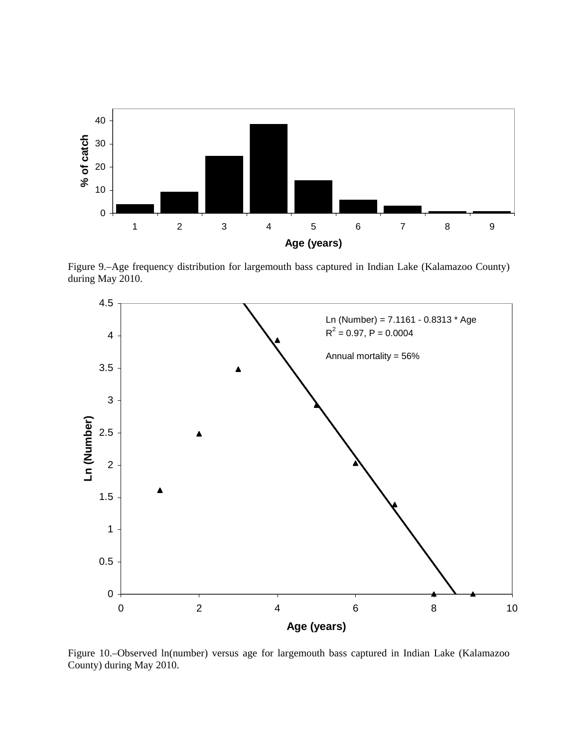

Figure 9.–Age frequency distribution for largemouth bass captured in Indian Lake (Kalamazoo County) during May 2010.



Figure 10.–Observed ln(number) versus age for largemouth bass captured in Indian Lake (Kalamazoo County) during May 2010.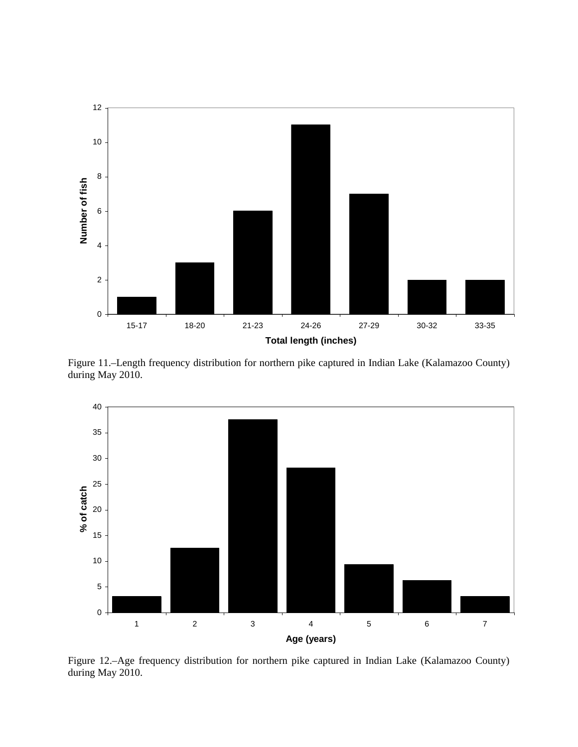

Figure 11.–Length frequency distribution for northern pike captured in Indian Lake (Kalamazoo County) during May 2010.



Figure 12.–Age frequency distribution for northern pike captured in Indian Lake (Kalamazoo County) during May 2010.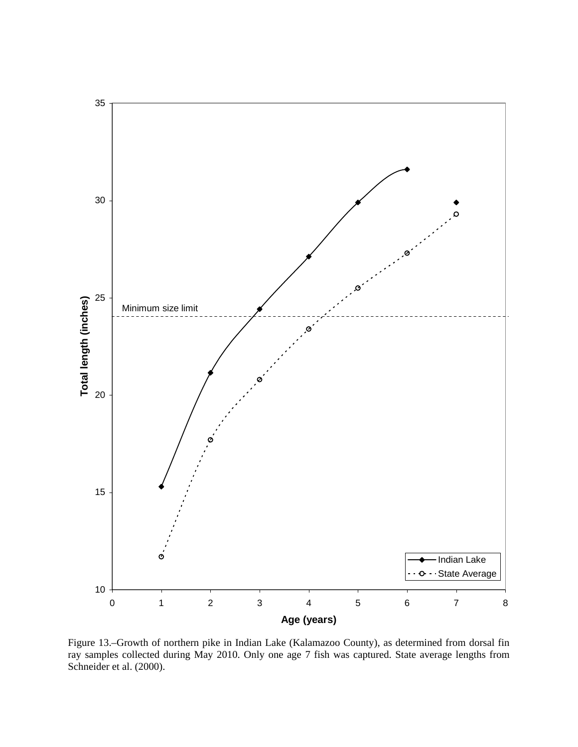

Figure 13.–Growth of northern pike in Indian Lake (Kalamazoo County), as determined from dorsal fin ray samples collected during May 2010. Only one age 7 fish was captured. State average lengths from Schneider et al. (2000).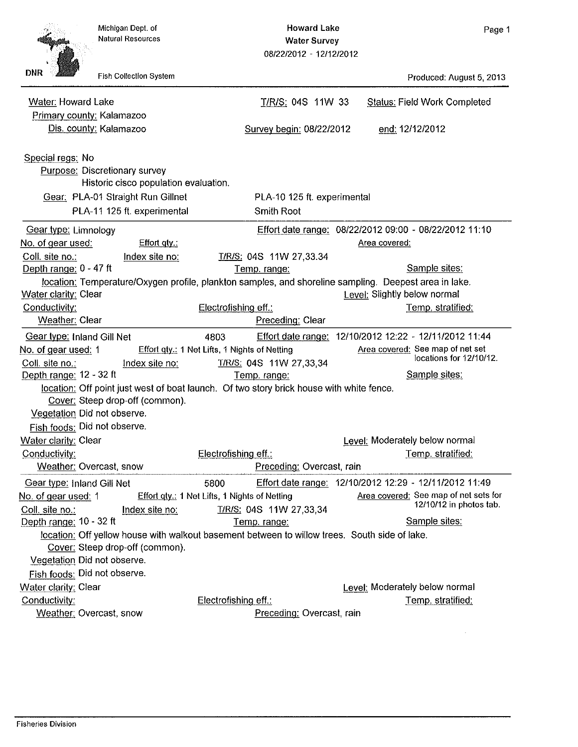Produced: August 5, 2013

**Status: Field Work Completed** 

|                                                 | Michigan Dept. of<br><b>Natural Resources</b> | <b>Howard Lake</b><br><b>Water Survey</b><br>08/22/2012 - 12/12/2012 |
|-------------------------------------------------|-----------------------------------------------|----------------------------------------------------------------------|
| DNR                                             | <b>Fish Collection System</b>                 |                                                                      |
| Water: Howard Lake<br>Primary county: Kalamazoo |                                               | T/R/S: 04S 11W 33                                                    |

 $\mathsf P$ Dis. county: Kalamazoo Survey begin: 08/22/2012 end: 12/12/2012 Special regs: No Purpose: Discretionary survey Historic cisco population evaluation. Gear: PLA-01 Straight Run Gillnet PLA-10 125 ft. experimental PLA-11 125 ft. experimental Smith Root Effort date range: 08/22/2012 09:00 - 08/22/2012 11:10 Gear type: Limnology No. of gear used: Effort qty.: Area covered: Coll. site no.: T/R/S: 04S 11W 27.33.34 Index site no: Depth range: 0 - 47 ft Temp. range: Sample sites: location: Temperature/Oxygen profile, plankton samples, and shoreline sampling. Deepest area in lake. Water clarity: Clear Level: Slightly below normal Conductivity: Electrofishing eff.: Temp. stratified: Preceding: Clear Weather: Clear Gear type: Inland Gill Net 4803 Effort date range: 12/10/2012 12:22 - 12/11/2012 11:44 Area covered: See map of net set No. of gear used: 1 Effort gty.: 1 Net Lifts, 1 Nights of Netting locations for 12/10/12. T/R/S: 04S 11W 27,33,34 Coll. site no.: Index site no: Sample sites: Depth range: 12 - 32 ft Temp. range: location: Off point just west of boat launch. Of two story brick house with white fence. Cover: Steep drop-off (common). Vegetation Did not observe. Fish foods: Did not observe. Water clarity: Clear Level: Moderately below normal Conductivity: Electrofishing eff.: Temp. stratified: Weather: Overcast, snow Preceding: Overcast, rain Effort date range: 12/10/2012 12:29 - 12/11/2012 11:49 Gear type: Inland Gill Net 5800 Area covered: See map of net sets for Effort gty.: 1 Net Lifts, 1 Nights of Netting No. of gear used: 1 12/10/12 in photos tab. T/R/S: 04S 11W 27,33,34 Coll. site no.: Index site no: Depth range: 10 - 32 ft Sample sites: Temp. range: location: Off yellow house with walkout basement between to willow trees. South side of lake. Cover: Steep drop-off (common). Vegetation Did not observe. Fish foods: Did not observe. Water clarity: Clear Level: Moderately below normal Conductivity: Electrofishing eff.: Temp. stratified: Weather: Overcast, snow Preceding: Overcast, rain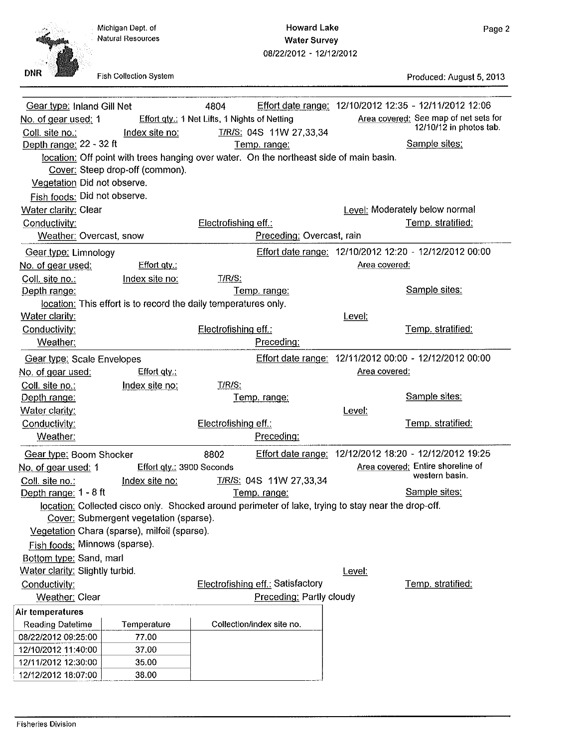Michigan Dept. of **Natural Resources** 

**Howard Lake Water Survey** 08/22/2012 - 12/12/2012

**DNR** 

Fish Collection System

Produced: August 5, 2013

| Gear type: Inland Gill Net      |                                                                                                     | 4804                                          |                                   |               | Effort date range: 12/10/2012 12:35 - 12/11/2012 12:06 |
|---------------------------------|-----------------------------------------------------------------------------------------------------|-----------------------------------------------|-----------------------------------|---------------|--------------------------------------------------------|
| No. of gear used: 1             |                                                                                                     | Effort gty.: 1 Net Lifts, 1 Nights of Netting |                                   |               | Area covered: See map of net sets for                  |
| Coll. site no.:                 | Index site no:                                                                                      |                                               | T/R/S: 04S 11W 27,33,34           |               | 12/10/12 in photos tab.                                |
| Depth range: 22 - 32 ft         |                                                                                                     |                                               | Temp. range:                      |               | Sample sites:                                          |
|                                 | location: Off point with trees hanging over water. On the northeast side of main basin.             |                                               |                                   |               |                                                        |
|                                 | Cover: Steep drop-off (common).                                                                     |                                               |                                   |               |                                                        |
| Vegetation Did not observe.     |                                                                                                     |                                               |                                   |               |                                                        |
| Fish foods: Did not observe.    |                                                                                                     |                                               |                                   |               |                                                        |
| <b>Water clarity: Clear</b>     |                                                                                                     |                                               |                                   |               | Level: Moderately below normal                         |
| Conductivity:                   |                                                                                                     | Electrofishing eff.:                          |                                   |               | Temp. stratified:                                      |
| Weather: Overcast, snow         |                                                                                                     |                                               | Preceding: Overcast, rain         |               |                                                        |
| Gear type: Limnology            |                                                                                                     |                                               |                                   |               | Effort date range: 12/10/2012 12:20 - 12/12/2012 00:00 |
| No. of gear used:               | Effort $qty$ .:                                                                                     |                                               |                                   | Area covered: |                                                        |
| Coll. site no.:                 | Index site no:                                                                                      | T/R/S:                                        |                                   |               |                                                        |
| Depth range:                    |                                                                                                     |                                               | Temp. range:                      |               | Sample sites:                                          |
|                                 | location: This effort is to record the daily temperatures only.                                     |                                               |                                   |               |                                                        |
| Water clarity:                  |                                                                                                     |                                               |                                   | Level:        |                                                        |
| Conductivity:                   |                                                                                                     | Electrofishing eff.:                          |                                   |               | Temp. stratified.                                      |
| Weather:                        |                                                                                                     |                                               | Preceding:                        |               |                                                        |
| Gear type: Scale Envelopes      |                                                                                                     |                                               |                                   |               | Effort date range: 12/11/2012 00:00 - 12/12/2012 00:00 |
| No. of gear used:               | Effort $q(y)$ :                                                                                     |                                               |                                   | Area covered: |                                                        |
| Coll. site no.:                 | Index site no:                                                                                      | T/R/S:                                        |                                   |               |                                                        |
| Depth range:                    |                                                                                                     |                                               | Temp. range:                      |               | Sample sites:                                          |
| Water clarity:                  |                                                                                                     |                                               |                                   | Level:        |                                                        |
| Conductivity:                   |                                                                                                     | Electrofishing eff.:                          |                                   |               | Temp. stratified:                                      |
| Weather:                        |                                                                                                     |                                               | Preceding:                        |               |                                                        |
| Gear type: Boom Shocker         |                                                                                                     | 8802                                          |                                   |               | Effort date range: 12/12/2012 18:20 - 12/12/2012 19:25 |
| No. of gear used: 1             | Effort gty.: 3900 Seconds                                                                           |                                               |                                   |               | Area covered: Entire shoreline of                      |
| Coll. site no.:                 | Index site no:                                                                                      |                                               | T/R/S: 04S 11W 27,33,34           |               | western basin.                                         |
| Depth range: $1 - 8$ ft         |                                                                                                     |                                               | Temp. range:                      |               | Sample sites:                                          |
|                                 | location: Collected cisco only. Shocked around perimeter of lake, trying to stay near the drop-off. |                                               |                                   |               |                                                        |
|                                 | Cover: Submergent vegetation (sparse).                                                              |                                               |                                   |               |                                                        |
|                                 | Vegetation Chara (sparse), milfoil (sparse).                                                        |                                               |                                   |               |                                                        |
| Fish foods: Minnows (sparse).   |                                                                                                     |                                               |                                   |               |                                                        |
| Bottom type: Sand, marl         |                                                                                                     |                                               |                                   |               |                                                        |
| Water clarity: Slightly turbid. |                                                                                                     |                                               |                                   | Level:        |                                                        |
| Conductivity:                   |                                                                                                     |                                               | Electrofishing eff.: Satisfactory |               | Temp. stratified:                                      |
| Weather: Clear                  |                                                                                                     |                                               | Preceding: Partly cloudy          |               |                                                        |
| Air temperatures                |                                                                                                     |                                               |                                   |               |                                                        |
| Reading Datetime                | Temperature                                                                                         |                                               | Collection/index site no.         |               |                                                        |
| 08/22/2012 09:25:00             | 77.00                                                                                               |                                               |                                   |               |                                                        |
| 12/10/2012 11:40:00             | 37.00                                                                                               |                                               |                                   |               |                                                        |
| 12/11/2012 12:30:00             | 35.00                                                                                               |                                               |                                   |               |                                                        |
| 12/12/2012 18:07:00             | 38.00                                                                                               |                                               |                                   |               |                                                        |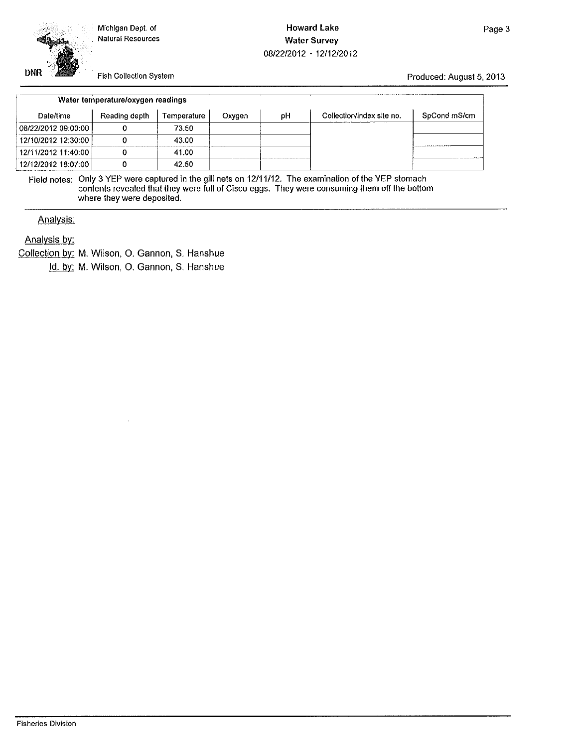Michigan Dept. of **Natural Resources** 

### **Howard Lake Water Survey** 08/22/2012 - 12/12/2012

Fish Collection System

Produced: August 5, 2013

|                     | Water temperature/oxygen readings |             |        |    |                           |              |
|---------------------|-----------------------------------|-------------|--------|----|---------------------------|--------------|
| Date/time           | Reading depth                     | Temperature | Oxygen | рH | Collection/index site no. | SpCond mS/cm |
| 08/22/2012 09:00:00 |                                   | 73.50       |        |    |                           |              |
| 12/10/2012 12:30:00 |                                   | 43.00       |        |    |                           |              |
| 12/11/2012 11:40:00 |                                   | 41.00       |        |    |                           |              |
| 12/12/2012 18:07:00 |                                   | 42.50       |        |    |                           |              |

Field notes: Only 3 YEP were captured in the gill nets on 12/11/12. The examination of the YEP stomach contents revealed that they were full of Cisco eggs. They were consuming them off the bottom where they were deposited.

Analysis:

Analysis by:

**DNR** 

Collection by: M. Wilson, O. Gannon, S. Hanshue

Id. by: M. Wilson, O. Gannon, S. Hanshue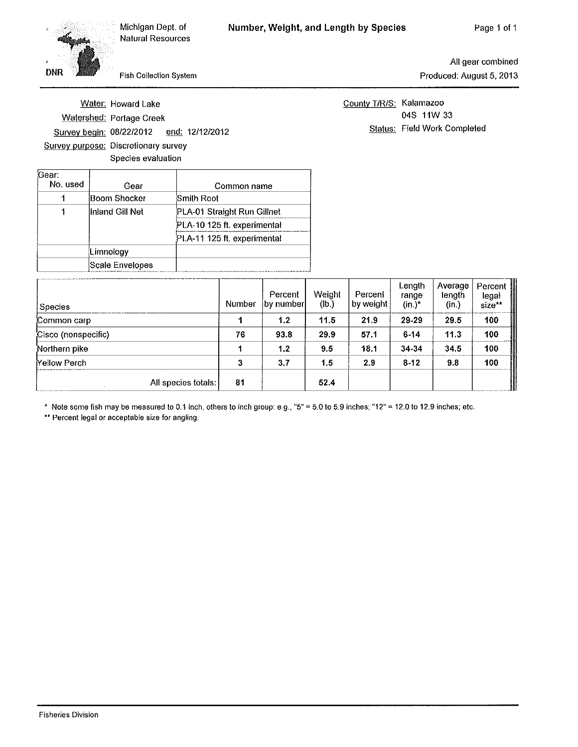Fish Collection System

All gear combined Produced: August 5, 2013

Water: Howard Lake **Watershed: Portage Creek** Survey begin: 08/22/2012 end: 12/12/2012 Survey purpose: Discretionary survey Species evaluation

County T/R/S: Kalamazoo 04S 11W 33 Status: Field Work Completed

| 'Gear:<br>No. used | Gear             | Common name                 |  |  |  |  |
|--------------------|------------------|-----------------------------|--|--|--|--|
|                    | Boom Shocker     | Smith Root                  |  |  |  |  |
|                    | llnland Gill Net | PLA-01 Straight Run Gillnet |  |  |  |  |
|                    |                  | PLA-10 125 ft. experimental |  |  |  |  |
|                    |                  | PLA-11 125 ft. experimental |  |  |  |  |
|                    | Limnology        |                             |  |  |  |  |
|                    | Scale Envelopes  |                             |  |  |  |  |

| Species             | Number | Percent<br>by number | Weight<br>(Ib.) | Percent<br>by weight | Length<br>range<br>$(in.)^*$ | Average <sup>'</sup><br>length<br>(in.) | $\overline{\mathsf{Percent}}$<br>and Marie<br>1980 - Paris<br>legal<br>size** |
|---------------------|--------|----------------------|-----------------|----------------------|------------------------------|-----------------------------------------|-------------------------------------------------------------------------------|
| Common carp         |        | 1.2                  | 11.5            | 21.9                 | 29-29                        | 29.5                                    | 100                                                                           |
| Cisco (nonspecific) | 76     | 93.8                 | 29.9            | 57.1                 | $6 - 14$                     | 11.3                                    | 100                                                                           |
| Northern pike       |        | 1.2                  | 9.5             | 18.1                 | 34-34                        | 34.5                                    | 100                                                                           |
| <b>Yellow Perch</b> |        | 3.7                  | 1.5             | 2.9                  | $8 - 12$                     | 9.8                                     | 100                                                                           |
| All species totals: | 81     |                      | 52.4            |                      |                              |                                         |                                                                               |

\* Note some fish may be measured to 0.1 inch, others to inch group: e.g., "5" = 5.0 to 5.9 inches; "12" = 12.0 to 12.9 inches; etc.

\*\* Percent legal or acceptable size for angling.

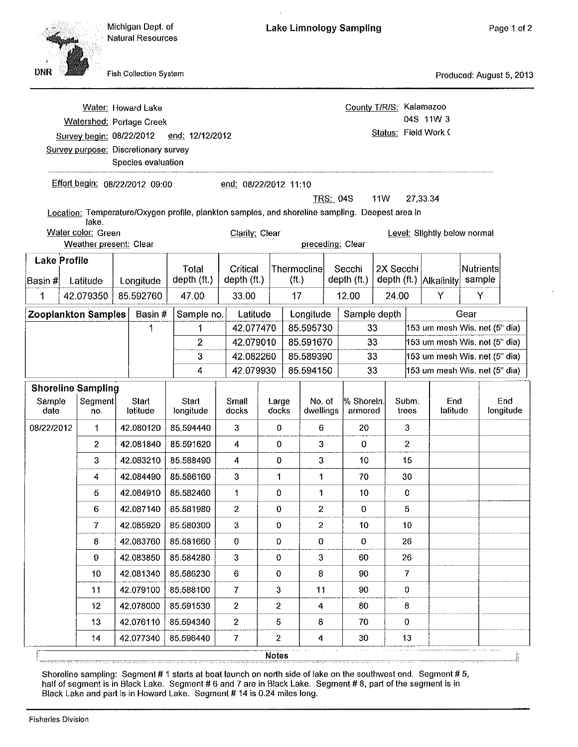| <b>DNR</b>                     |                                                       | <b>Fish Collection System</b>                                                                                |                      |                         |                |                                   |                     |                         |                                                 |                |                              |        | Produced: August 5, 2013      |
|--------------------------------|-------------------------------------------------------|--------------------------------------------------------------------------------------------------------------|----------------------|-------------------------|----------------|-----------------------------------|---------------------|-------------------------|-------------------------------------------------|----------------|------------------------------|--------|-------------------------------|
|                                | Survey begin: 08/22/2012                              | Water: Howard Lake<br>Watershed: Portage Creek<br>Survey purpose: Discretionary survey<br>Species evaluation | end: 12/12/2012      |                         |                |                                   |                     |                         | County T/R/S: Kalamazoo<br>Status: Field Work C |                | 04S 11W 3                    |        |                               |
|                                |                                                       | Effort begin: 08/22/2012 09:00                                                                               |                      | end: 08/22/2012 11:10   |                |                                   | <b>TRS: 04S</b>     |                         | <b>11W</b>                                      | 27,33.34       |                              |        |                               |
|                                |                                                       | Location: Temperature/Oxygen profile, plankton samples, and shoreline sampling. Deepest area in              |                      |                         |                |                                   |                     |                         |                                                 |                |                              |        |                               |
|                                | lake.<br>Water color: Green<br>Weather present: Clear |                                                                                                              |                      | Clarity: Clear          |                |                                   | preceding: Clear    |                         |                                                 |                | Level: Slightly below normal |        |                               |
| <b>Lake Profile</b><br>Basin # | Latitude                                              | Longitude                                                                                                    | Total<br>depth (ft.) | Critical<br>depth (ft.) |                | Thermoclinel<br>(f <sup>t</sup> ) |                     | Secchi<br>depth $(ft.)$ | 2X Secchi                                       |                | depth (ft.) Alkalinity       | sample | <b>Nutrients</b>              |
| 1                              | 42.079350                                             | 85.592760                                                                                                    | 47.00                | 33.00                   |                | 17                                |                     | 12.00                   | 24.00                                           |                | Y                            |        | Y                             |
|                                | <b>Zooplankton Samples</b>                            | Basin#                                                                                                       | Sample no.           | Latitude                |                |                                   | Longitude           |                         | Sample depth                                    |                |                              | Gear   |                               |
|                                |                                                       | 1                                                                                                            | 1                    | 42.077470               |                | 85.595730                         |                     |                         | 33                                              |                |                              |        | 153 um mesh Wis. net (5" dia) |
|                                |                                                       |                                                                                                              | 2                    | 42.079010               |                | 85.591670                         |                     |                         | 33                                              |                |                              |        | 153 um mesh Wis. net (5" dia) |
|                                |                                                       |                                                                                                              | 3                    | 42.082260               |                | 85.589390                         |                     |                         | 33                                              |                |                              |        | 153 um mesh Wis. net (5" dia) |
|                                |                                                       |                                                                                                              | 4                    | 42.079930               |                | 85.594150                         |                     |                         | 33                                              |                |                              |        | 153 um mesh Wis. net (5" dia) |
| Sample<br>date                 | <b>Shoreline Sampling</b><br>Segment<br>no.           | Start<br>latitude                                                                                            | Start<br>longitude   | Small<br>docks          | Large<br>docks |                                   | No. of<br>dwellings | % Shorein.<br>armored   |                                                 | Subm.<br>trees | End<br>latitude              |        | End<br>longitude              |
| 08/22/2012                     | 1                                                     | 42.080120                                                                                                    | 85.594440            | 3                       | 0              |                                   | 6                   | 20                      |                                                 | 3              |                              |        |                               |
|                                | $\overline{2}$                                        | 42.081840                                                                                                    | 85.591620            | 4                       | 0              |                                   | 3                   | $\bf{0}$                |                                                 | 2              |                              |        |                               |
|                                | 3                                                     | 42.083210                                                                                                    | 85.588490            | 4                       | 0              |                                   | 3                   | 10                      |                                                 | 15             |                              |        |                               |
|                                | 4                                                     | 42.084490                                                                                                    | 85.586160            | 3                       | 1              |                                   | 1                   | 70                      |                                                 | 30             |                              |        |                               |
|                                | 5                                                     | 42.084910                                                                                                    | 85.582460            | 1                       | 0              |                                   | 1                   | 10                      |                                                 | 0              |                              |        |                               |
|                                | $6\phantom{.}$                                        | 42.087140                                                                                                    | 85.581980            | $\mathbf{2}$            | $\bf{0}$       |                                   | $\mathbf{2}$        | $\bf{0}$                |                                                 | 5              |                              |        |                               |
|                                | 7                                                     | 42.085920                                                                                                    | 85.580300            | $\mathbf{3}$            | $\pmb{0}$      |                                   | $\mathbf{2}$        | 10 <sup>°</sup>         |                                                 | 10             |                              |        |                               |
|                                | 8                                                     | 42.083760                                                                                                    | 85.581660            | $\pmb{0}$               | $\pmb{0}$      |                                   | $\pmb{0}$           | 0                       |                                                 | 26             |                              |        |                               |
|                                | 9                                                     | 42.083850                                                                                                    | 85.584280            | $\mathbf{3}$            | 0              |                                   | 3                   | 60                      |                                                 | 26             |                              |        |                               |
|                                | 10                                                    | 42.081340                                                                                                    | 85.586230            | 6                       | 0              |                                   | 8                   | 90                      |                                                 | $\overline{7}$ |                              |        |                               |
|                                | 11                                                    | 42.079100                                                                                                    | 85.588100            | $\overline{I}$          | 3              |                                   | 11                  | 90                      |                                                 | 0              |                              |        |                               |
|                                | 12                                                    | 42.078000                                                                                                    | 85.591530            | 2                       | 2              |                                   | 4                   | 80                      |                                                 | 8              |                              |        |                               |
|                                | 13                                                    |                                                                                                              | 42.076110 85.594340  | $\mathbf{2}$            | $\bf 5$        |                                   | 8                   | 70                      |                                                 | 0              |                              |        |                               |

**Lake Limnology Sampling** 

Page 1 of 2

Michigan Dept. of

**Natural Resources** 

Shoreline sampling: Segment #1 starts at boat launch on north side of lake on the southwest end. Segment #5, half of segment is in Black Lake. Segment #6 and 7 are in Black Lake. Segment #8, part of the segment is in Black Lake and part is in Howard Lake. Segment # 14 is 0.24 miles long.

 $\mathbf 2$ 

**Notes** 

 $\overline{\bf 4}$ 

30

 $13$ 

 $\overline{7}$ 

 $14$ 

42.077340

85.596440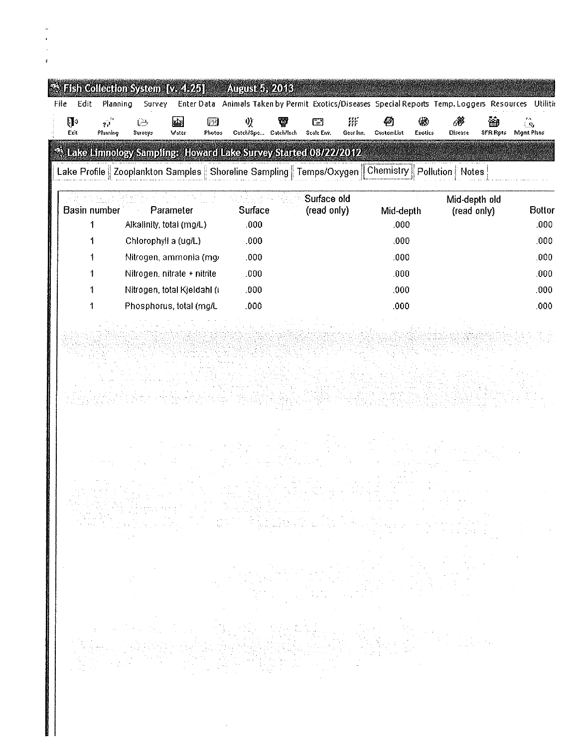| Edit                                          | $\ddot{\mathcal{R}}$ Fish Collection System [v. 4.25]<br>Planning<br>Survey                                                                                                             | August 5, 2013       |                                                                                                                  |                                                                             |                              |               |
|-----------------------------------------------|-----------------------------------------------------------------------------------------------------------------------------------------------------------------------------------------|----------------------|------------------------------------------------------------------------------------------------------------------|-----------------------------------------------------------------------------|------------------------------|---------------|
| File<br>$\mathbb{R}$<br>$\tilde{\mathcal{D}}$ | zL.<br>िब<br>⊖                                                                                                                                                                          | V)<br>ī3             | Enter Data Animals Taken by Permit Exotics/Diseases Special Reports Temp, Loggers Resources Utilitic<br>羘<br>F-1 |                                                                             | 6                            | ్వ            |
| Exit<br>Planning                              | Surveys<br>Water<br>Photos                                                                                                                                                              | Catch/Spe Catch/Inch | Scale Env.<br>Gear for.                                                                                          | CustomList<br>Exotics                                                       | SFR Pote<br>Disease          | Mgmt Plans    |
|                                               | <sup>4</sup> Lake Limnology Sampling: Howard Lake Survey Started 08/22/2012<br>Lake Profile   Zooplankton Samples   Shoreline Sampling   Temps/Oxygen    Chemistry    Pollution   Notes |                      |                                                                                                                  |                                                                             |                              |               |
|                                               |                                                                                                                                                                                         |                      |                                                                                                                  |                                                                             |                              |               |
| <b>Basin number</b>                           | Parameter                                                                                                                                                                               | Surface              | Surface old<br>(read only)                                                                                       | Mid-depth                                                                   | Mid-depth old<br>(read only) | <b>Bottor</b> |
| 1                                             | Alkalinity, total (mg/L)                                                                                                                                                                | ,000                 |                                                                                                                  | .000                                                                        |                              | .000          |
| 1                                             | Chlorophyll a (ug/L)                                                                                                                                                                    | .000                 |                                                                                                                  | .000.                                                                       |                              | ,000          |
|                                               | Nitrogen, ammonia (mg/                                                                                                                                                                  | .000                 |                                                                                                                  | .000                                                                        |                              | .000          |
|                                               | Nitrogen, nitrate + nitrite                                                                                                                                                             | .000                 |                                                                                                                  | .000                                                                        |                              | .000          |
|                                               | Nitrogen, total Kjeldahl ()                                                                                                                                                             | .000                 |                                                                                                                  | .000                                                                        |                              | .000.         |
| 1                                             | Phosphorus, total (mg/L                                                                                                                                                                 | .000                 |                                                                                                                  | .000                                                                        |                              | .000          |
|                                               |                                                                                                                                                                                         |                      |                                                                                                                  |                                                                             |                              |               |
|                                               |                                                                                                                                                                                         |                      |                                                                                                                  |                                                                             |                              |               |
|                                               |                                                                                                                                                                                         |                      |                                                                                                                  |                                                                             |                              |               |
|                                               |                                                                                                                                                                                         |                      |                                                                                                                  |                                                                             |                              |               |
|                                               |                                                                                                                                                                                         |                      |                                                                                                                  |                                                                             |                              |               |
|                                               |                                                                                                                                                                                         |                      |                                                                                                                  |                                                                             |                              |               |
|                                               |                                                                                                                                                                                         |                      |                                                                                                                  |                                                                             |                              |               |
|                                               |                                                                                                                                                                                         |                      |                                                                                                                  |                                                                             |                              |               |
|                                               |                                                                                                                                                                                         |                      |                                                                                                                  |                                                                             |                              |               |
|                                               |                                                                                                                                                                                         |                      |                                                                                                                  |                                                                             |                              |               |
|                                               |                                                                                                                                                                                         |                      |                                                                                                                  |                                                                             | $\sim$                       |               |
|                                               |                                                                                                                                                                                         |                      |                                                                                                                  |                                                                             |                              |               |
|                                               |                                                                                                                                                                                         |                      |                                                                                                                  |                                                                             |                              |               |
|                                               |                                                                                                                                                                                         |                      |                                                                                                                  |                                                                             |                              |               |
|                                               |                                                                                                                                                                                         |                      |                                                                                                                  |                                                                             | 19일<br>대학                    |               |
|                                               |                                                                                                                                                                                         |                      |                                                                                                                  |                                                                             |                              |               |
|                                               |                                                                                                                                                                                         |                      |                                                                                                                  |                                                                             |                              |               |
|                                               |                                                                                                                                                                                         |                      |                                                                                                                  | Santa Control (1993)<br>Maria Control (1994)<br>Andrew Maria Control (1994) |                              |               |
|                                               |                                                                                                                                                                                         |                      |                                                                                                                  |                                                                             |                              |               |
|                                               |                                                                                                                                                                                         |                      | $\sim$                                                                                                           |                                                                             |                              |               |
|                                               |                                                                                                                                                                                         |                      |                                                                                                                  |                                                                             |                              |               |
|                                               |                                                                                                                                                                                         |                      |                                                                                                                  |                                                                             |                              |               |

 $\mathcal{L}^{\text{max}}_{\text{max}}$ 

v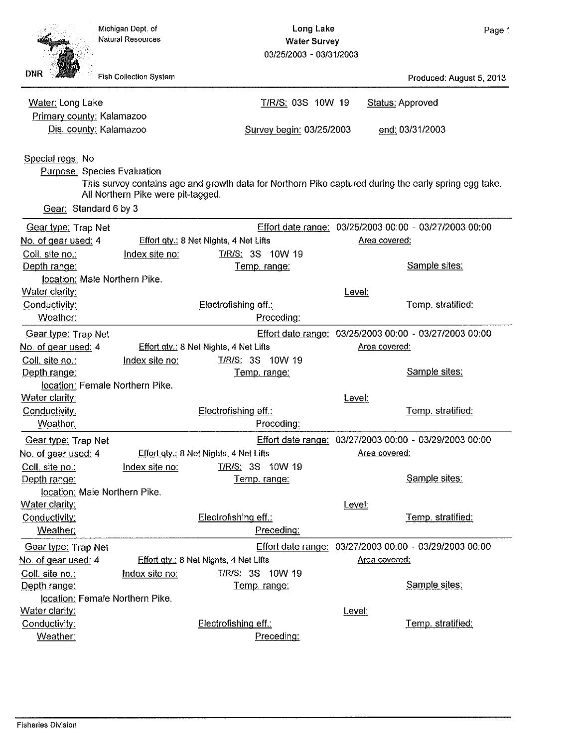Produced: August 5, 2013

**Status: Approved** 

end: 03/31/2003

**Long Lake Water Survey** 03/25/2003 - 03/31/2003

T/R/S: 03S 10W 19

Survey begin: 03/25/2003

Fish Collection System

**DNR** 

Water: Long Lake

Primary county: Kalamazoo Dis. county: Kalamazoo

Special regs: No **Purpose: Species Evaluation** This survey contains age and growth data for Northern Pike captured during the early spring egg take. All Northern Pike were pit-tagged. Gear: Standard 6 by 3 Gear type: Trap Net Effort date range: 03/25/2003 00:00 - 03/27/2003 00:00 No. of gear used: 4 Effort gty.: 8 Net Nights, 4 Net Lifts Area covered: Coll. site no.: Index site no: T/R/S: 3S 10W 19 Depth range: Sample sites: Temp, range: location: Male Northern Pike. Water clarity: Level: Conductivity: Electrofishing eff.: Temp. stratified: Weather: Preceding: Effort date range: 03/25/2003 00:00 - 03/27/2003 00:00 Gear type: Trap Net No. of gear used: 4 Effort gty.: 8 Net Nights, 4 Net Lifts Area covered: T/R/S: 3S 10W 19 Coll. site no.: Index site no: Sample sites: Depth range: Temp. range: location: Female Northern Pike. Water clarity: Level: Conductivity: Electrofishing eff.: Temp. stratified: Weather: Preceding: Effort date range: 03/27/2003 00:00 - 03/29/2003 00:00 Gear type: Trap Net Effort gty.: 8 Net Nights, 4 Net Lifts Area covered: No. of gear used: 4 T/R/S: 3S 10W 19 Coll. site no.: Index site no: Depth range: Sample sites: Temp. range: location: Male Northern Pike. Water clarity: Level: Conductivity: Electrofishing eff.: Temp. stratified: Weather: Preceding: Effort date range: 03/27/2003 00:00 - 03/29/2003 00:00 Gear type: Trap Net Effort gty.: 8 Net Nights, 4 Net Lifts No. of gear used: 4 Area covered: Coll. site no.: Index site no: T/R/S: 3S 10W 19 Sample sites: Depth range: Temp. range: location: Female Northern Pike. Water clarity: Level: Conductivity: Electrofishing eff.: Temp. stratified: Weather: Preceding: **Fisheries Division**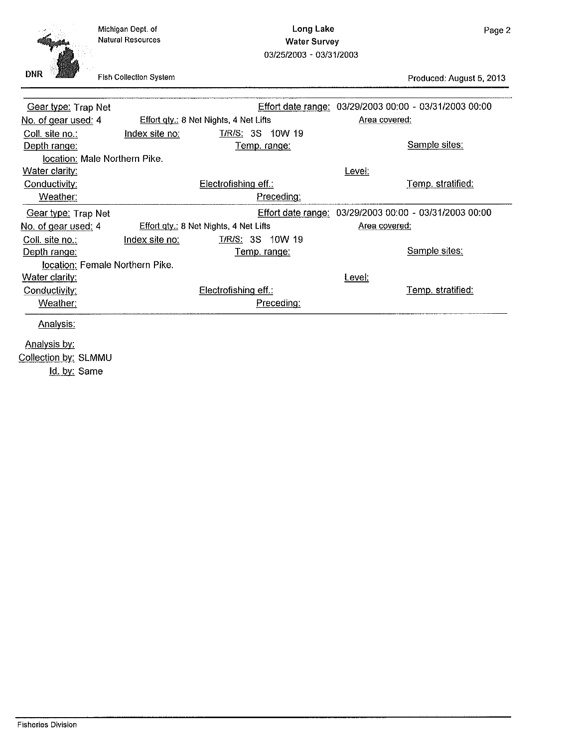| Michigan Dept. of        |  |
|--------------------------|--|
| <b>Natural Resources</b> |  |

Long Lake **Water Survey** 03/25/2003 - 03/31/2003



Fish Collection System

Produced: August 5, 2013

| Gear type: Trap Net             |                |                                               | Effort date range: 03/29/2003 00:00 - 03/31/2003 00:00 |                   |
|---------------------------------|----------------|-----------------------------------------------|--------------------------------------------------------|-------------------|
| No. of gear used: 4             |                | Effort gty.: 8 Net Nights, 4 Net Lifts        | Area covered:                                          |                   |
| Coll. site no.:                 | Index site no: | T/R/S: 3S 10W 19                              |                                                        |                   |
| Depth range:                    |                | <u>Temp. range:</u>                           |                                                        | Sample sites:     |
| location: Male Northern Pike.   |                |                                               |                                                        |                   |
| Water clarity:                  |                |                                               | Level:                                                 |                   |
| Conductivity:                   |                | Electrofishing eff.:                          |                                                        | Temp. stratified: |
| Weather:                        |                | Preceding:                                    |                                                        |                   |
| Gear type: Trap Net             |                |                                               | Effort date range: 03/29/2003 00:00 - 03/31/2003 00:00 |                   |
| No. of gear used: 4             |                | <b>Effort gty.: 8 Net Nights, 4 Net Lifts</b> | Area covered:                                          |                   |
| Coll. site no.:                 | Index site no: | <b>T/R/S: 3S 10W 19</b>                       |                                                        |                   |
| Depth range:                    |                | <u>Temp. range:</u>                           |                                                        | Sample sites:     |
| location: Female Northern Pike. |                |                                               |                                                        |                   |
| <b>Water clarity:</b>           |                |                                               | Level:                                                 |                   |
| Conductivity:                   |                | Electrofishing eff.:                          |                                                        | Temp. stratified: |
| Weather:                        |                | Preceding:                                    |                                                        |                   |
| Analysis:                       |                |                                               |                                                        |                   |
| Analysis by:                    |                |                                               |                                                        |                   |
| Collection by: SLMMU            |                |                                               |                                                        |                   |
|                                 |                |                                               |                                                        |                   |

Id. by: Same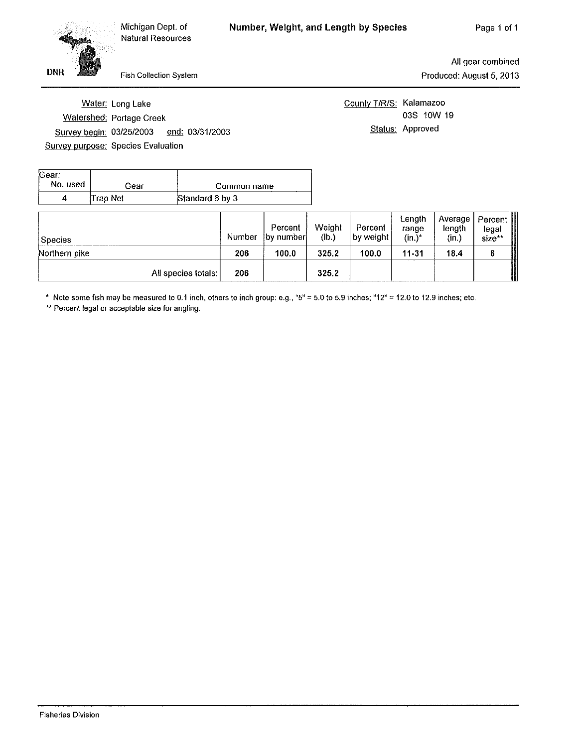Fish Collection System

All gear combined Produced: August 5, 2013

Water: Long Lake Watershed: Portage Creek Survey begin: 03/25/2003 end: 03/31/2003 **Survey purpose: Species Evaluation** 

**DNR** 

County T/R/S: Kalamazoo 03S 10W 19 Status: Approved

| Gear:<br>No. used | Gear     | Common name     |
|-------------------|----------|-----------------|
|                   | Trap Net | Standard 6 by 3 |

| Species             | Number | Percent<br><b>by number</b> | Weight<br>(Ib.) | Percent<br>by weight | Length<br>range<br>$(in.)^*$ | Average  <br>length<br>(in.) | Percent<br>legal<br>size** |
|---------------------|--------|-----------------------------|-----------------|----------------------|------------------------------|------------------------------|----------------------------|
| Northern pike       | 206    | 100.0                       | 325.2           | 100.0                | $11 - 31$                    | 18.4                         |                            |
| All species totals: | 206    |                             | 325.2           |                      |                              |                              |                            |

\* Note some fish may be measured to 0.1 inch, others to inch group: e.g., "5" = 5.0 to 5.9 inches; "12" = 12.0 to 12.9 inches; etc.

\*\* Percent legal or acceptable size for angling.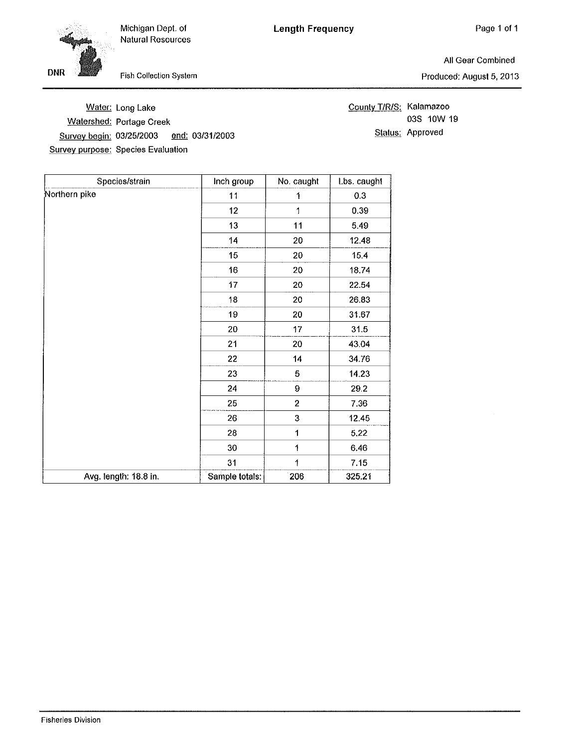Michigan Dept. of Natural Resources



Fish Collection System

All Gear Combined Produced: August 5, 2013

|                                           | Water: Long Lake         |  |
|-------------------------------------------|--------------------------|--|
|                                           | Watershed: Portage Creek |  |
| Survey begin: 03/25/2003 end: 03/31/2003  |                          |  |
| <b>Survey purpose: Species Evaluation</b> |                          |  |

County T/R/S: Kalamazoo 03S 10W 19 Status: Approved

| Species/strain        | Inch group      | No. caught     | Lbs. caught |
|-----------------------|-----------------|----------------|-------------|
| Northern pike         | 11              | 1              | 0.3         |
|                       | 12 <sub>2</sub> | 1              | 0.39        |
|                       | 13              | 11             | 5.49        |
|                       | 14              | 20             | 12.48       |
|                       | 15              | 20             | 15.4        |
|                       | 16              | 20             | 18.74       |
|                       | 17              | 20             | 22.54       |
|                       | 18              | 20             | 26.83       |
|                       | 19              | 20             | 31.67       |
|                       | 20              | 17             | 31.5        |
|                       | 21              | 20             | 43.04       |
|                       | 22              | 14             | 34.76       |
|                       | 23              | 5              | 14.23       |
|                       | 24              | $\bf{9}$       | 29.2        |
|                       | 25              | $\overline{2}$ | 7.36        |
|                       | 26              | 3              | 12.45       |
|                       | 28              | 1              | 5.22        |
|                       | 30              | 1              | 6.46        |
|                       | 31              | 1              | 7.15        |
| Avg. length: 18.8 in. | Sample totals:  | 206            | 325.21      |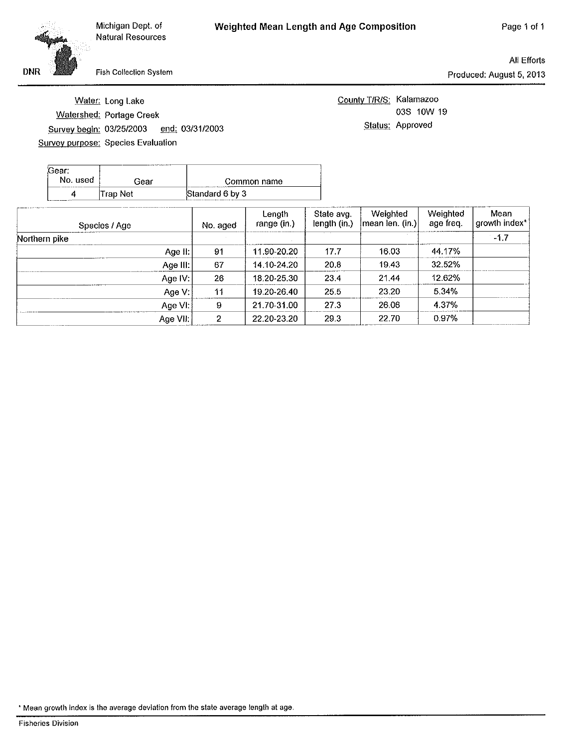Michigan Dept. of **Natural Resources** 

All Efforts Produced: August 5, 2013

Fish Collection System

Water: Long Lake

Watershed: Portage Creek

Survey purpose: Species Evaluation

Survey begin: 03/25/2003

| <b>DNR</b> |  |
|------------|--|

County T/R/S: Kalamazoo 03S 10W 19 Status: Approved

| Gear:<br>No. used | Gear     | Common name     |
|-------------------|----------|-----------------|
| a                 | Trap Net | Standard 6 by 3 |

end: 03/31/2003

| Species / Age | No. aged | Length<br>range (in.) | State avg.<br>length (in.) | Weighted<br>(mean len. (in.) | Weighted<br>age freq. | Mean<br>growth index* |
|---------------|----------|-----------------------|----------------------------|------------------------------|-----------------------|-----------------------|
| Northern pike |          |                       |                            |                              |                       | $-1.7$                |
| Age II:       | 91       | 11.90-20.20           | 17.7                       | 16.03                        | 44.17%                |                       |
| Age III:      | 67       | 14.10-24.20           | 20.8                       | 19.43                        | 32.52%                |                       |
| Age IV:       | 26       | 18.20-25.30           | 23.4                       | 21.44                        | 12.62%                |                       |
| Age V:        | 11       | 19.20-26.40           | 25.5                       | 23.20                        | 5.34%                 |                       |
| Age VI:       | 9        | 21.70-31.00           | 27.3                       | 26,06                        | 4.37%                 |                       |
| Age VII.      | 2        | 22.20-23.20           | 29.3                       | 22.70                        | $0.97\%$              |                       |

<sup>\*</sup> Mean growth index is the average deviation from the state average length at age.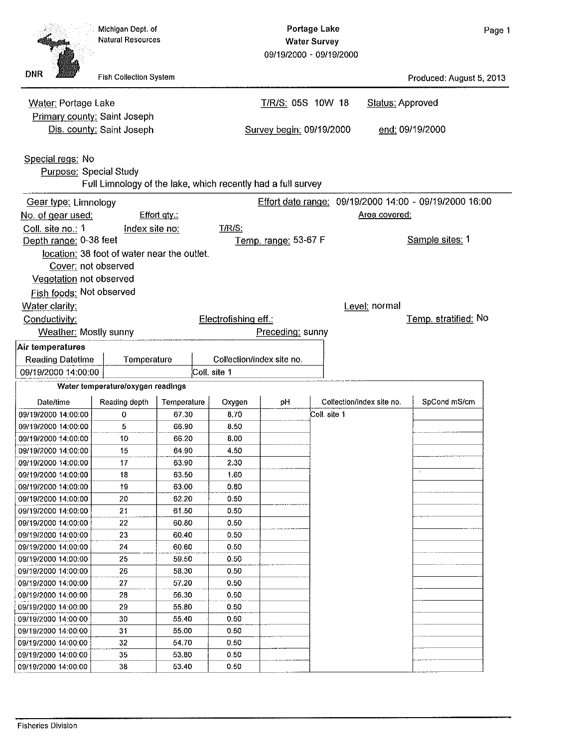| aae |
|-----|
|-----|

**Natural Resources Water Survey** 09/19/2000 - 09/19/2000 **DNR Fish Collection System** Produced: August 5, 2013 Water: Portage Lake T/R/S: 05S 10W 18 **Status: Approved** Primary county: Saint Joseph Dis. county: Saint Joseph Survey begin: 09/19/2000 end: 09/19/2000 Special regs: No Purpose: Special Study Full Limnology of the lake, which recently had a full survey Gear type: Limnology Effort date range: 09/19/2000 14:00 - 09/19/2000 16:00 Effort qty.: No. of gear used: Area covered: Coll. site no.: 1 Index site no: T/R/S: Depth range: 0-38 feet Temp. range: 53-67 F Sample sites: 1 location: 38 foot of water near the outlet. Cover: not observed Vegetation not observed Fish foods: Not observed Water clarity: Level: normal Conductivity: Electrofishing eff.: Temp. stratified: No **Weather: Mostly sunny** Preceding: sunny Air temperatures **Reading Datetime** Temperature Collection/index site no. 09/19/2000 14:00:00 Coll. site 1 Water temperature/oxygen readings Collection/index site no. SpCond mS/cm Date/fime Reading depth Temperature Oxygen pH 09/19/2000 14:00:00 0 67.30 8.70 Coll. site 1 09/19/2000 14:00:00 5 66.90 8.50 09/19/2000 14:00:00  $10$ 66.20 8.00 09/19/2000 14:00:00 15 64.90 4.50  $2.30$ 09/19/2000 14:00:00  $17$ 63.90 09/19/2000 14:00:00 18 63.50 1.60 09/19/2000 14:00:00 63.00 0.80 19 09/19/2000 14:00:00 20 62.20  $0.50$  $21$ 0.50 09/19/2000 14:00:00 61.50 09/19/2000 14:00:00 22 60.80 0.50 09/19/2000 14:00:00 23 60.40  $0.50$ 09/19/2000 14:00:00 24 60.60 0.50 09/19/2000 14:00:00 25 59.50 0.50 09/19/2000 14:00:00 26 58.30  $0.50$ 09/19/2000 14:00:00 27 57.20 0.50 28 09/19/2000 14:00:00 56.30 0.50 09/19/2000 14:00:00 29 55.80 0.50  $0.50$ 09/19/2000 14:00:00 30 55.40 09/19/2000 14:00:00 31 55.00 0.50 09/19/2000 14:00:00 32 54.70 0.50 09/19/2000 14:00:00 35 53.80  $0.50$ 09/19/2000 14:00:00 38 53.40 0.50

**Portage Lake** 

Michigan Dept. of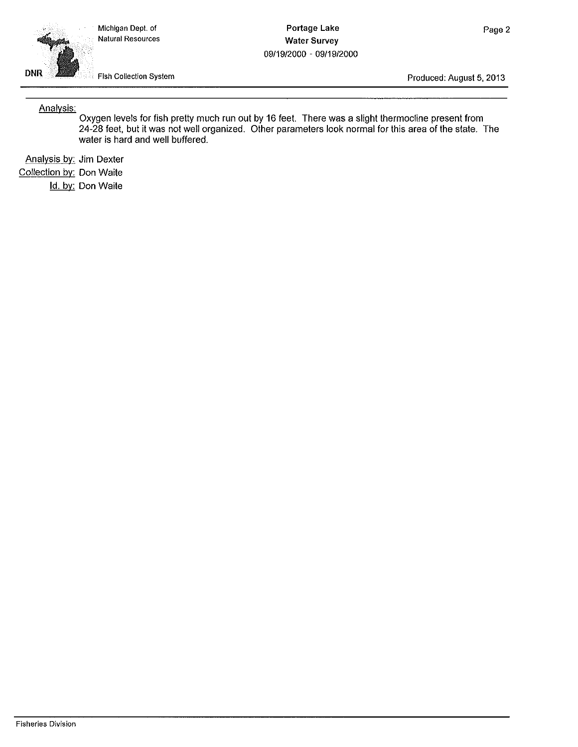Michigan Dept. of Natural Resources

**Portage Lake Water Survey** 09/19/2000 - 09/19/2000



Fish Collection System

Produced: August 5, 2013

Analysis:

Oxygen levels for fish pretty much run out by 16 feet. There was a slight thermocline present from 24-28 feet, but it was not well organized. Other parameters look normal for this area of the state. The water is hard and well buffered.

Analysis by: Jim Dexter Collection by: Don Waite Id. by: Don Waite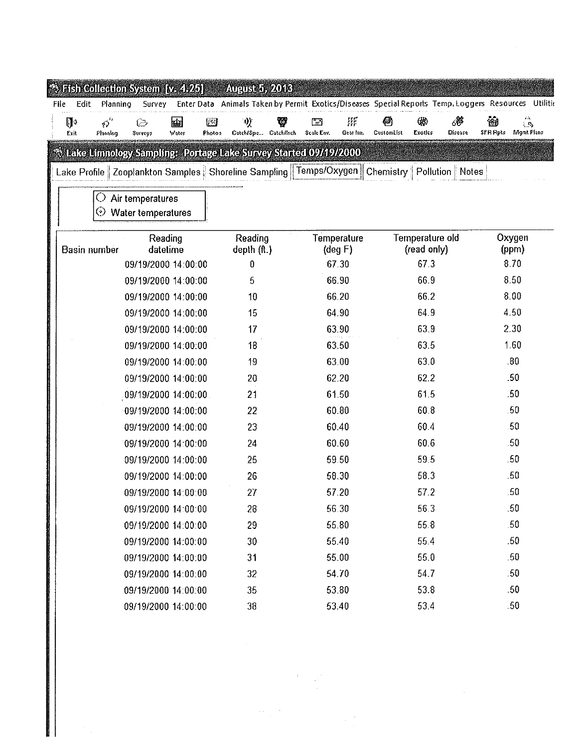|                                                                                                                                                                                                                                                                                                                                                                                                                                                                                                                                                                                                                                                                                                                                                                                                                                                                                                                                                                                                                                                                                                                                                                                                                                                                                                                                                                                                                                                                                                                                                                                                                                                                                                                                                                                                                                                                                                                                                       |        |        |        |             | Utilitio        |
|-------------------------------------------------------------------------------------------------------------------------------------------------------------------------------------------------------------------------------------------------------------------------------------------------------------------------------------------------------------------------------------------------------------------------------------------------------------------------------------------------------------------------------------------------------------------------------------------------------------------------------------------------------------------------------------------------------------------------------------------------------------------------------------------------------------------------------------------------------------------------------------------------------------------------------------------------------------------------------------------------------------------------------------------------------------------------------------------------------------------------------------------------------------------------------------------------------------------------------------------------------------------------------------------------------------------------------------------------------------------------------------------------------------------------------------------------------------------------------------------------------------------------------------------------------------------------------------------------------------------------------------------------------------------------------------------------------------------------------------------------------------------------------------------------------------------------------------------------------------------------------------------------------------------------------------------------------|--------|--------|--------|-------------|-----------------|
| √ે<br>Į.                                                                                                                                                                                                                                                                                                                                                                                                                                                                                                                                                                                                                                                                                                                                                                                                                                                                                                                                                                                                                                                                                                                                                                                                                                                                                                                                                                                                                                                                                                                                                                                                                                                                                                                                                                                                                                                                                                                                              | 뇌<br>⊖ | 嗄<br>V | 肝<br>⊡ | ⊛<br>8<br>0 | гΔ,<br>葡<br>LB. |
|                                                                                                                                                                                                                                                                                                                                                                                                                                                                                                                                                                                                                                                                                                                                                                                                                                                                                                                                                                                                                                                                                                                                                                                                                                                                                                                                                                                                                                                                                                                                                                                                                                                                                                                                                                                                                                                                                                                                                       |        |        |        |             |                 |
| Enter Data Animals Taken by Permit Exotics/Diseases Special Reports Temp. Loggers Resources<br>Edit<br>Planning<br>File<br>Survey<br>[3]<br>CustomList<br>Exotics<br>SFR Rots Mgmt Plans<br>Catch/Spe Catch/Inch<br>Scale Env.<br>Gear Inv.<br>Disease<br>Planning<br>Photos<br>Exit<br>Surveys<br>Water<br>Stake Limnology Sampling: Portage Lake Survey Started 09/19/2000<br>Lake Profile   Zooplankton Samples   Shoreline Sampling    Temps/Oxygen    Chemistry    Pollution    Notes<br>Air temperatures<br>O<br>Water temperatures<br>$\scriptstyle \circ$<br>Temperature old<br>Oxygen<br>Reading<br>Reading<br>Temperature<br><b>Basin number</b><br>datetime<br>(read only)<br>(ppm)<br>depth $(f)$<br>$(\text{deg } F)$<br>8.70<br>67.30<br>673<br>09/19/2000 14:00:00<br>0<br>8.50<br>66.90<br>66.9<br>09/19/2000 14:00:00<br>5<br>66.2<br>8.00<br>09/19/2000 14:00:00<br>66.20<br>10<br>64.9<br>4.50<br>64.90<br>09/19/2000 14:00:00<br>15<br>2.30<br>63.9<br>63.90<br>09/19/2000 14:00:00<br>17<br>1.60<br>63.5<br>09/19/2000 14:00:00<br>18<br>63.50<br>63.0<br>.80<br>63.00<br>09/19/2000 14:00:00<br> 9<br>62.2<br>.50<br>62.20<br>09/19/2000 14:00:00<br>20<br>61.5<br>.50<br>21<br>61.50<br>09/19/2000 14:00:00<br>60 8<br>.50<br>09/19/2000 14:00:00<br>60.80<br>22<br>50<br>60.40<br>60 4<br>09/19/2000 14:00:00<br>23<br>.50<br>60.60<br>60.6<br>09/19/2000 14:00:00<br>24<br>.50<br>59.5<br>09/19/2000 14:00:00<br>25<br>59.50<br>58.3<br>.50<br>26<br>58.30<br>09/19/2000 14:00:00<br>.50<br>57.2<br>57.20<br>09/19/2000 14:00:00<br>27<br>56.30<br>56.3<br>.50<br>09/19/2000 14:00:00<br>28<br>55.8<br>.50<br>55.80<br>29<br>09/19/2000 14:00:00<br>.50<br>55.40<br>55.4<br>09/19/2000 14:00:00<br>$30\,$<br>.50<br>55.0<br>09/19/2000 14:00:00<br>31<br>55.00<br>54.70<br>54.7<br>.50<br>09/19/2000 14:00:00<br>32<br>.50<br>53.80<br>538<br>09/19/2000 14:00:00<br>35<br>.50<br>09/19/2000 14:00:00<br>38<br>53.40<br>53.4 |        |        |        |             |                 |
| <sup>43</sup> Fish Collection System [v. 4.25]<br>August 5, 2013                                                                                                                                                                                                                                                                                                                                                                                                                                                                                                                                                                                                                                                                                                                                                                                                                                                                                                                                                                                                                                                                                                                                                                                                                                                                                                                                                                                                                                                                                                                                                                                                                                                                                                                                                                                                                                                                                      |        |        |        |             |                 |
|                                                                                                                                                                                                                                                                                                                                                                                                                                                                                                                                                                                                                                                                                                                                                                                                                                                                                                                                                                                                                                                                                                                                                                                                                                                                                                                                                                                                                                                                                                                                                                                                                                                                                                                                                                                                                                                                                                                                                       |        |        |        |             |                 |
|                                                                                                                                                                                                                                                                                                                                                                                                                                                                                                                                                                                                                                                                                                                                                                                                                                                                                                                                                                                                                                                                                                                                                                                                                                                                                                                                                                                                                                                                                                                                                                                                                                                                                                                                                                                                                                                                                                                                                       |        |        |        |             |                 |
|                                                                                                                                                                                                                                                                                                                                                                                                                                                                                                                                                                                                                                                                                                                                                                                                                                                                                                                                                                                                                                                                                                                                                                                                                                                                                                                                                                                                                                                                                                                                                                                                                                                                                                                                                                                                                                                                                                                                                       |        |        |        |             |                 |
|                                                                                                                                                                                                                                                                                                                                                                                                                                                                                                                                                                                                                                                                                                                                                                                                                                                                                                                                                                                                                                                                                                                                                                                                                                                                                                                                                                                                                                                                                                                                                                                                                                                                                                                                                                                                                                                                                                                                                       |        |        |        |             |                 |
|                                                                                                                                                                                                                                                                                                                                                                                                                                                                                                                                                                                                                                                                                                                                                                                                                                                                                                                                                                                                                                                                                                                                                                                                                                                                                                                                                                                                                                                                                                                                                                                                                                                                                                                                                                                                                                                                                                                                                       |        |        |        |             |                 |
|                                                                                                                                                                                                                                                                                                                                                                                                                                                                                                                                                                                                                                                                                                                                                                                                                                                                                                                                                                                                                                                                                                                                                                                                                                                                                                                                                                                                                                                                                                                                                                                                                                                                                                                                                                                                                                                                                                                                                       |        |        |        |             |                 |
|                                                                                                                                                                                                                                                                                                                                                                                                                                                                                                                                                                                                                                                                                                                                                                                                                                                                                                                                                                                                                                                                                                                                                                                                                                                                                                                                                                                                                                                                                                                                                                                                                                                                                                                                                                                                                                                                                                                                                       |        |        |        |             |                 |
|                                                                                                                                                                                                                                                                                                                                                                                                                                                                                                                                                                                                                                                                                                                                                                                                                                                                                                                                                                                                                                                                                                                                                                                                                                                                                                                                                                                                                                                                                                                                                                                                                                                                                                                                                                                                                                                                                                                                                       |        |        |        |             |                 |
|                                                                                                                                                                                                                                                                                                                                                                                                                                                                                                                                                                                                                                                                                                                                                                                                                                                                                                                                                                                                                                                                                                                                                                                                                                                                                                                                                                                                                                                                                                                                                                                                                                                                                                                                                                                                                                                                                                                                                       |        |        |        |             |                 |
|                                                                                                                                                                                                                                                                                                                                                                                                                                                                                                                                                                                                                                                                                                                                                                                                                                                                                                                                                                                                                                                                                                                                                                                                                                                                                                                                                                                                                                                                                                                                                                                                                                                                                                                                                                                                                                                                                                                                                       |        |        |        |             |                 |
|                                                                                                                                                                                                                                                                                                                                                                                                                                                                                                                                                                                                                                                                                                                                                                                                                                                                                                                                                                                                                                                                                                                                                                                                                                                                                                                                                                                                                                                                                                                                                                                                                                                                                                                                                                                                                                                                                                                                                       |        |        |        |             |                 |
|                                                                                                                                                                                                                                                                                                                                                                                                                                                                                                                                                                                                                                                                                                                                                                                                                                                                                                                                                                                                                                                                                                                                                                                                                                                                                                                                                                                                                                                                                                                                                                                                                                                                                                                                                                                                                                                                                                                                                       |        |        |        |             |                 |
|                                                                                                                                                                                                                                                                                                                                                                                                                                                                                                                                                                                                                                                                                                                                                                                                                                                                                                                                                                                                                                                                                                                                                                                                                                                                                                                                                                                                                                                                                                                                                                                                                                                                                                                                                                                                                                                                                                                                                       |        |        |        |             |                 |
|                                                                                                                                                                                                                                                                                                                                                                                                                                                                                                                                                                                                                                                                                                                                                                                                                                                                                                                                                                                                                                                                                                                                                                                                                                                                                                                                                                                                                                                                                                                                                                                                                                                                                                                                                                                                                                                                                                                                                       |        |        |        |             |                 |
|                                                                                                                                                                                                                                                                                                                                                                                                                                                                                                                                                                                                                                                                                                                                                                                                                                                                                                                                                                                                                                                                                                                                                                                                                                                                                                                                                                                                                                                                                                                                                                                                                                                                                                                                                                                                                                                                                                                                                       |        |        |        |             |                 |
|                                                                                                                                                                                                                                                                                                                                                                                                                                                                                                                                                                                                                                                                                                                                                                                                                                                                                                                                                                                                                                                                                                                                                                                                                                                                                                                                                                                                                                                                                                                                                                                                                                                                                                                                                                                                                                                                                                                                                       |        |        |        |             |                 |
|                                                                                                                                                                                                                                                                                                                                                                                                                                                                                                                                                                                                                                                                                                                                                                                                                                                                                                                                                                                                                                                                                                                                                                                                                                                                                                                                                                                                                                                                                                                                                                                                                                                                                                                                                                                                                                                                                                                                                       |        |        |        |             |                 |
|                                                                                                                                                                                                                                                                                                                                                                                                                                                                                                                                                                                                                                                                                                                                                                                                                                                                                                                                                                                                                                                                                                                                                                                                                                                                                                                                                                                                                                                                                                                                                                                                                                                                                                                                                                                                                                                                                                                                                       |        |        |        |             |                 |
|                                                                                                                                                                                                                                                                                                                                                                                                                                                                                                                                                                                                                                                                                                                                                                                                                                                                                                                                                                                                                                                                                                                                                                                                                                                                                                                                                                                                                                                                                                                                                                                                                                                                                                                                                                                                                                                                                                                                                       |        |        |        |             |                 |
|                                                                                                                                                                                                                                                                                                                                                                                                                                                                                                                                                                                                                                                                                                                                                                                                                                                                                                                                                                                                                                                                                                                                                                                                                                                                                                                                                                                                                                                                                                                                                                                                                                                                                                                                                                                                                                                                                                                                                       |        |        |        |             |                 |
|                                                                                                                                                                                                                                                                                                                                                                                                                                                                                                                                                                                                                                                                                                                                                                                                                                                                                                                                                                                                                                                                                                                                                                                                                                                                                                                                                                                                                                                                                                                                                                                                                                                                                                                                                                                                                                                                                                                                                       |        |        |        |             |                 |
|                                                                                                                                                                                                                                                                                                                                                                                                                                                                                                                                                                                                                                                                                                                                                                                                                                                                                                                                                                                                                                                                                                                                                                                                                                                                                                                                                                                                                                                                                                                                                                                                                                                                                                                                                                                                                                                                                                                                                       |        |        |        |             |                 |
|                                                                                                                                                                                                                                                                                                                                                                                                                                                                                                                                                                                                                                                                                                                                                                                                                                                                                                                                                                                                                                                                                                                                                                                                                                                                                                                                                                                                                                                                                                                                                                                                                                                                                                                                                                                                                                                                                                                                                       |        |        |        |             |                 |
|                                                                                                                                                                                                                                                                                                                                                                                                                                                                                                                                                                                                                                                                                                                                                                                                                                                                                                                                                                                                                                                                                                                                                                                                                                                                                                                                                                                                                                                                                                                                                                                                                                                                                                                                                                                                                                                                                                                                                       |        |        |        |             |                 |
|                                                                                                                                                                                                                                                                                                                                                                                                                                                                                                                                                                                                                                                                                                                                                                                                                                                                                                                                                                                                                                                                                                                                                                                                                                                                                                                                                                                                                                                                                                                                                                                                                                                                                                                                                                                                                                                                                                                                                       |        |        |        |             |                 |
|                                                                                                                                                                                                                                                                                                                                                                                                                                                                                                                                                                                                                                                                                                                                                                                                                                                                                                                                                                                                                                                                                                                                                                                                                                                                                                                                                                                                                                                                                                                                                                                                                                                                                                                                                                                                                                                                                                                                                       |        |        |        |             |                 |
|                                                                                                                                                                                                                                                                                                                                                                                                                                                                                                                                                                                                                                                                                                                                                                                                                                                                                                                                                                                                                                                                                                                                                                                                                                                                                                                                                                                                                                                                                                                                                                                                                                                                                                                                                                                                                                                                                                                                                       |        |        |        |             |                 |
|                                                                                                                                                                                                                                                                                                                                                                                                                                                                                                                                                                                                                                                                                                                                                                                                                                                                                                                                                                                                                                                                                                                                                                                                                                                                                                                                                                                                                                                                                                                                                                                                                                                                                                                                                                                                                                                                                                                                                       |        |        |        |             |                 |
|                                                                                                                                                                                                                                                                                                                                                                                                                                                                                                                                                                                                                                                                                                                                                                                                                                                                                                                                                                                                                                                                                                                                                                                                                                                                                                                                                                                                                                                                                                                                                                                                                                                                                                                                                                                                                                                                                                                                                       |        |        |        |             |                 |

 $\label{eq:2.1} \frac{1}{\sqrt{2}}\int_{\mathbb{R}^3}\frac{1}{\sqrt{2}}\left(\frac{1}{\sqrt{2}}\right)^2\frac{1}{\sqrt{2}}\left(\frac{1}{\sqrt{2}}\right)^2\frac{1}{\sqrt{2}}\left(\frac{1}{\sqrt{2}}\right)^2\frac{1}{\sqrt{2}}\left(\frac{1}{\sqrt{2}}\right)^2.$